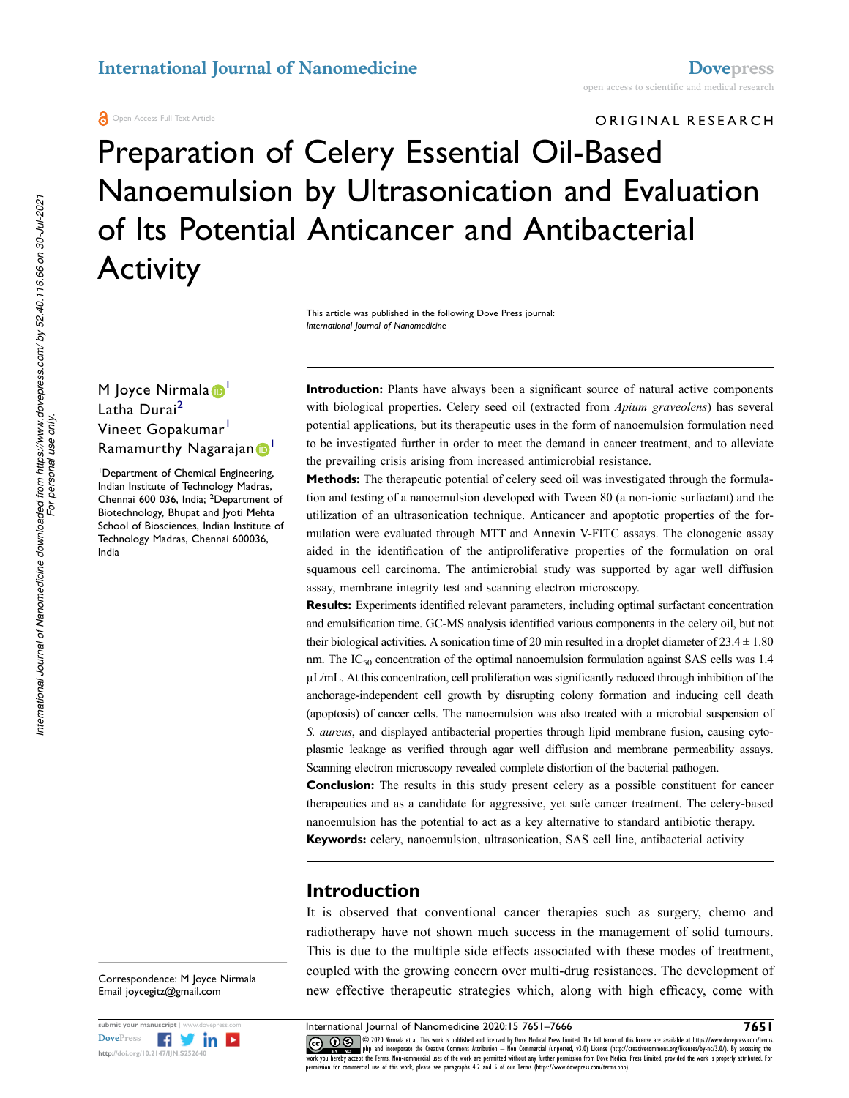**A** Open Access Full Text Article

# ORIGINAL RESEARCH

# Preparation of Celery Essential Oil-Based Nanoemulsion by Ultrasonication and Evaluation of Its Potential Anticancer and Antibacterial **Activity**

This article was published in the following Dove Press journal: *International Journal of Nanomedicine*

# M Joyce Nirmala<sup>D</sup> Latha Durai<sup>[2](#page-0-1)</sup> Vineet Gopakumar<sup>1</sup> Ramamurthy Nagarajan D

<span id="page-0-1"></span><span id="page-0-0"></span><sup>1</sup>Department of Chemical Engineering, Indian Institute of Technology Madras, Chennai 600 036, India; 2Department of Biotechnology, Bhupat and Jyoti Mehta School of Biosciences, Indian Institute of Technology Madras, Chennai 600036, India

**Introduction:** Plants have always been a significant source of natural active components with biological properties. Celery seed oil (extracted from *Apium graveolens*) has several potential applications, but its therapeutic uses in the form of nanoemulsion formulation need to be investigated further in order to meet the demand in cancer treatment, and to alleviate the prevailing crisis arising from increased antimicrobial resistance.

**Methods:** The therapeutic potential of celery seed oil was investigated through the formulation and testing of a nanoemulsion developed with Tween 80 (a non-ionic surfactant) and the utilization of an ultrasonication technique. Anticancer and apoptotic properties of the formulation were evaluated through MTT and Annexin V-FITC assays. The clonogenic assay aided in the identification of the antiproliferative properties of the formulation on oral squamous cell carcinoma. The antimicrobial study was supported by agar well diffusion assay, membrane integrity test and scanning electron microscopy.

**Results:** Experiments identified relevant parameters, including optimal surfactant concentration and emulsification time. GC-MS analysis identified various components in the celery oil, but not their biological activities. A sonication time of 20 min resulted in a droplet diameter of  $23.4 \pm 1.80$ nm. The IC<sub>50</sub> concentration of the optimal nanoemulsion formulation against SAS cells was 1.4 µL/mL. At this concentration, cell proliferation was significantly reduced through inhibition of the anchorage-independent cell growth by disrupting colony formation and inducing cell death (apoptosis) of cancer cells. The nanoemulsion was also treated with a microbial suspension of *S. aureus*, and displayed antibacterial properties through lipid membrane fusion, causing cytoplasmic leakage as verified through agar well diffusion and membrane permeability assays. Scanning electron microscopy revealed complete distortion of the bacterial pathogen.

**Conclusion:** The results in this study present celery as a possible constituent for cancer therapeutics and as a candidate for aggressive, yet safe cancer treatment. The celery-based nanoemulsion has the potential to act as a key alternative to standard antibiotic therapy. **Keywords:** celery, nanoemulsion, ultrasonication, SAS cell line, antibacterial activity

# **Introduction**

It is observed that conventional cancer therapies such as surgery, chemo and radiotherapy have not shown much success in the management of solid tumours. This is due to the multiple side effects associated with these modes of treatment, coupled with the growing concern over multi-drug resistances. The development of new effective therapeutic strategies which, along with high efficacy, come with

International Journal of Nanomedicine downloaded from https://www.dovepress.com/ by 52.40.116.66 on 30-Jul-2021<br>For personal use only. *International Journal of Nanomedicine downloaded from https://www.dovepress.com/ by 52.40.116.66 on 30-Jul-2021 For personal use only.*

> Correspondence: M Joyce Nirmala Email [joycegitz@gmail.com](mailto:joycegitz@gmail.com)



submit your manuscript | www.dovepress.com **International Journal of Nanomedicine 2020:15 7651–7666 7651**<br>DovePress **Figure 1999 (CC) D** S 2020 Nimmala et al. This work is published and licensed by Dove Medical Press L **CO D** S **C** 2020 Nirmala et al. This work is published and licensed by Dove Medical Press Limited. The full terms of this license are available at https://www.dovepress.com/terms. work you and incorporate the Creative Commons Attribution — Non Commercial (unported, v3.0) License (http://creativecommons.org/licenses/by-nc/3.0/). By accessing the<br>work you hereby accept the Terms. Non-commercial uses o permission for commercial use of this work, please see paragraphs 4.2 and 5 of our Terms (https://www.dovepress.com/terms.php).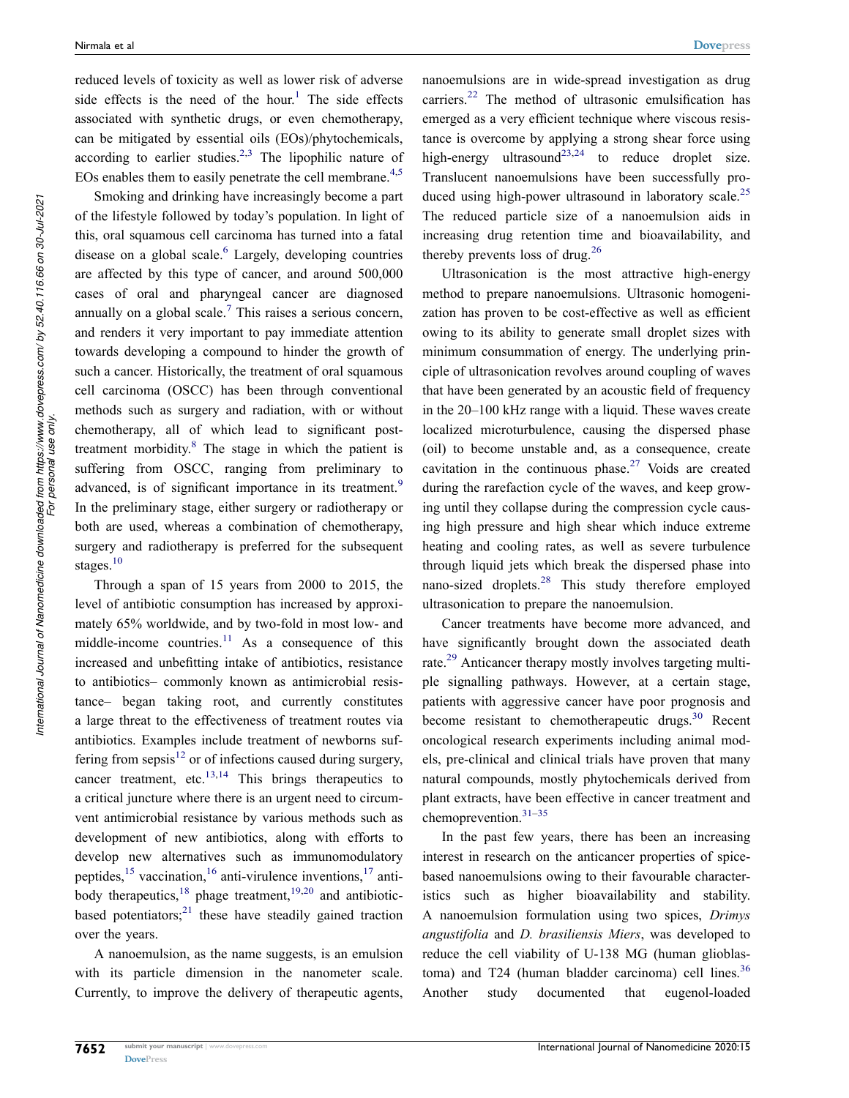<span id="page-1-0"></span>reduced levels of toxicity as well as lower risk of adverse side effects is the need of the hour.<sup>[1](#page-12-0)</sup> The side effects associated with synthetic drugs, or even chemotherapy, can be mitigated by essential oils (EOs)/phytochemicals, according to earlier studies.<sup>[2,](#page-12-1)[3](#page-12-2)</sup> The lipophilic nature of EOs enables them to easily penetrate the cell membrane. $4,5$  $4,5$  $4,5$ 

<span id="page-1-4"></span><span id="page-1-3"></span><span id="page-1-2"></span><span id="page-1-1"></span>Smoking and drinking have increasingly become a part of the lifestyle followed by today's population. In light of this, oral squamous cell carcinoma has turned into a fatal disease on a global scale. $6$  Largely, developing countries are affected by this type of cancer, and around 500,000 cases of oral and pharyngeal cancer are diagnosed annually on a global scale.<sup>[7](#page-12-6)</sup> This raises a serious concern, and renders it very important to pay immediate attention towards developing a compound to hinder the growth of such a cancer. Historically, the treatment of oral squamous cell carcinoma (OSCC) has been through conventional methods such as surgery and radiation, with or without chemotherapy, all of which lead to significant posttreatment morbidity.<sup>8</sup> The stage in which the patient is suffering from OSCC, ranging from preliminary to advanced, is of significant importance in its treatment.<sup>9</sup> In the preliminary stage, either surgery or radiotherapy or both are used, whereas a combination of chemotherapy, surgery and radiotherapy is preferred for the subsequent stages.<sup>[10](#page-12-9)</sup>

<span id="page-1-9"></span><span id="page-1-8"></span><span id="page-1-7"></span><span id="page-1-6"></span><span id="page-1-5"></span>Through a span of 15 years from 2000 to 2015, the level of antibiotic consumption has increased by approximately 65% worldwide, and by two-fold in most low- and middle-income countries. $11$  As a consequence of this increased and unbefitting intake of antibiotics, resistance to antibiotics– commonly known as antimicrobial resistance– began taking root, and currently constitutes a large threat to the effectiveness of treatment routes via antibiotics. Examples include treatment of newborns suffering from sepsis $12$  or of infections caused during surgery, cancer treatment, etc. $13,14$  $13,14$  This brings therapeutics to a critical juncture where there is an urgent need to circumvent antimicrobial resistance by various methods such as development of new antibiotics, along with efforts to develop new alternatives such as immunomodulatory peptides,  $15$  vaccination,  $16$  anti-virulence inventions,  $17$  antibody therapeutics, $18$  phage treatment,  $19,20$  $19,20$  $19,20$  and antibioticbased potentiators; $^{21}$  $^{21}$  $^{21}$  these have steadily gained traction over the years.

<span id="page-1-13"></span><span id="page-1-12"></span><span id="page-1-11"></span><span id="page-1-10"></span>A nanoemulsion, as the name suggests, is an emulsion with its particle dimension in the nanometer scale. Currently, to improve the delivery of therapeutic agents, <span id="page-1-15"></span><span id="page-1-14"></span>nanoemulsions are in wide-spread investigation as drug carriers.<sup>22</sup> The method of ultrasonic emulsification has emerged as a very efficient technique where viscous resistance is overcome by applying a strong shear force using high-energy ultrasound<sup>[23](#page-13-8),24</sup> to reduce droplet size. Translucent nanoemulsions have been successfully pro-duced using high-power ultrasound in laboratory scale.<sup>[25](#page-13-10)</sup> The reduced particle size of a nanoemulsion aids in increasing drug retention time and bioavailability, and thereby prevents loss of drug.<sup>[26](#page-13-11)</sup>

<span id="page-1-17"></span><span id="page-1-16"></span>Ultrasonication is the most attractive high-energy method to prepare nanoemulsions. Ultrasonic homogenization has proven to be cost-effective as well as efficient owing to its ability to generate small droplet sizes with minimum consummation of energy. The underlying principle of ultrasonication revolves around coupling of waves that have been generated by an acoustic field of frequency in the 20–100 kHz range with a liquid. These waves create localized microturbulence, causing the dispersed phase (oil) to become unstable and, as a consequence, create cavitation in the continuous phase.<sup>27</sup> Voids are created during the rarefaction cycle of the waves, and keep growing until they collapse during the compression cycle causing high pressure and high shear which induce extreme heating and cooling rates, as well as severe turbulence through liquid jets which break the dispersed phase into nano-sized droplets.[28](#page-13-13) This study therefore employed ultrasonication to prepare the nanoemulsion.

<span id="page-1-21"></span><span id="page-1-20"></span><span id="page-1-19"></span><span id="page-1-18"></span>Cancer treatments have become more advanced, and have significantly brought down the associated death rate.<sup>29</sup> Anticancer therapy mostly involves targeting multiple signalling pathways. However, at a certain stage, patients with aggressive cancer have poor prognosis and become resistant to chemotherapeutic drugs. $30$  Recent oncological research experiments including animal models, pre-clinical and clinical trials have proven that many natural compounds, mostly phytochemicals derived from plant extracts, have been effective in cancer treatment and chemoprevention.[31](#page-13-16)–[35](#page-13-17)

<span id="page-1-23"></span><span id="page-1-22"></span>In the past few years, there has been an increasing interest in research on the anticancer properties of spicebased nanoemulsions owing to their favourable characteristics such as higher bioavailability and stability. A nanoemulsion formulation using two spices, *Drimys angustifolia* and *D. brasiliensis Miers*, was developed to reduce the cell viability of U-138 MG (human glioblastoma) and T24 (human bladder carcinoma) cell lines. $36$ Another study documented that eugenol-loaded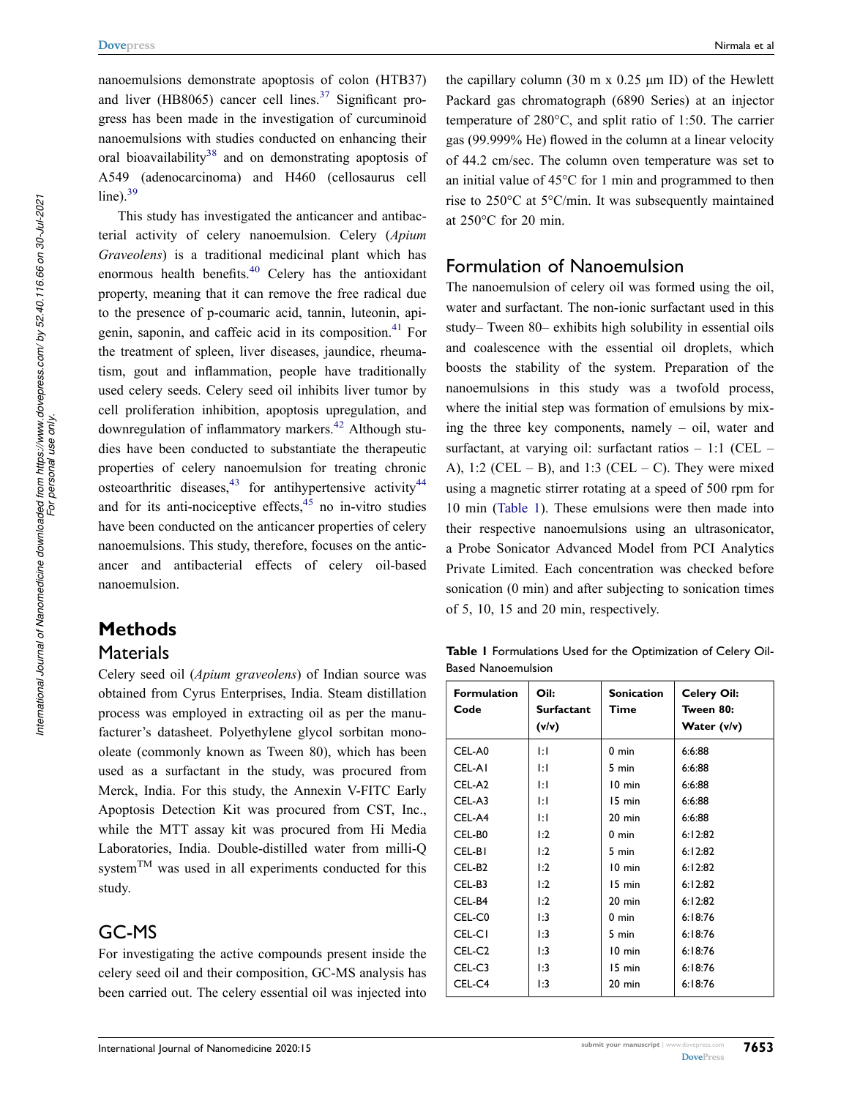<span id="page-2-1"></span>nanoemulsions demonstrate apoptosis of colon (HTB37) and liver (HB8065) cancer cell lines. $37$  Significant progress has been made in the investigation of curcuminoid nanoemulsions with studies conducted on enhancing their oral bioavailability<sup>[38](#page-13-20)</sup> and on demonstrating apoptosis of A549 (adenocarcinoma) and H460 (cellosaurus cell  $line)$ <sup>[39](#page-13-21)</sup>

<span id="page-2-6"></span><span id="page-2-5"></span><span id="page-2-4"></span><span id="page-2-3"></span><span id="page-2-2"></span>This study has investigated the anticancer and antibacterial activity of celery nanoemulsion. Celery (*Apium Graveolens*) is a traditional medicinal plant which has enormous health benefits.<sup>[40](#page-13-22)</sup> Celery has the antioxidant property, meaning that it can remove the free radical due to the presence of p-coumaric acid, tannin, luteonin, api-genin, saponin, and caffeic acid in its composition.<sup>[41](#page-13-23)</sup> For the treatment of spleen, liver diseases, jaundice, rheumatism, gout and inflammation, people have traditionally used celery seeds. Celery seed oil inhibits liver tumor by cell proliferation inhibition, apoptosis upregulation, and downregulation of inflammatory markers.<sup>[42](#page-13-24)</sup> Although studies have been conducted to substantiate the therapeutic properties of celery nanoemulsion for treating chronic osteoarthritic diseases,  $43$  for antihypertensive activity  $44$ and for its anti-nociceptive effects, $45$  no in-vitro studies have been conducted on the anticancer properties of celery nanoemulsions. This study, therefore, focuses on the anticancer and antibacterial effects of celery oil-based nanoemulsion.

# <span id="page-2-8"></span><span id="page-2-7"></span>**Methods**

# **Materials**

Celery seed oil (*Apium graveolens*) of Indian source was obtained from Cyrus Enterprises, India. Steam distillation process was employed in extracting oil as per the manufacturer's datasheet. Polyethylene glycol sorbitan monooleate (commonly known as Tween 80), which has been used as a surfactant in the study, was procured from Merck, India. For this study, the Annexin V-FITC Early Apoptosis Detection Kit was procured from CST, Inc., while the MTT assay kit was procured from Hi Media Laboratories, India. Double-distilled water from milli-Q system<sup>TM</sup> was used in all experiments conducted for this study.

# GC-MS

For investigating the active compounds present inside the celery seed oil and their composition, GC-MS analysis has been carried out. The celery essential oil was injected into

the capillary column (30 m x 0.25 μm ID) of the Hewlett Packard gas chromatograph (6890 Series) at an injector temperature of 280°C, and split ratio of 1:50. The carrier gas (99.999% He) flowed in the column at a linear velocity of 44.2 cm/sec. The column oven temperature was set to an initial value of 45°C for 1 min and programmed to then rise to 250°C at 5°C/min. It was subsequently maintained at 250°C for 20 min.

# Formulation of Nanoemulsion

The nanoemulsion of celery oil was formed using the oil, water and surfactant. The non-ionic surfactant used in this study– Tween 80– exhibits high solubility in essential oils and coalescence with the essential oil droplets, which boosts the stability of the system. Preparation of the nanoemulsions in this study was a twofold process, where the initial step was formation of emulsions by mixing the three key components, namely – oil, water and surfactant, at varying oil: surfactant ratios – 1:1 (CEL – A), 1:2 (CEL – B), and 1:3 (CEL – C). They were mixed using a magnetic stirrer rotating at a speed of 500 rpm for 10 min ([Table 1\)](#page-2-0). These emulsions were then made into their respective nanoemulsions using an ultrasonicator, a Probe Sonicator Advanced Model from PCI Analytics Private Limited. Each concentration was checked before sonication (0 min) and after subjecting to sonication times of 5, 10, 15 and 20 min, respectively.

<span id="page-2-0"></span>**Table 1** Formulations Used for the Optimization of Celery Oil-Based Nanoemulsion

| <b>Formulation</b><br>Code | Oil:<br><b>Surfactant</b><br>(v/v) | <b>Sonication</b><br>Time | <b>Celery Oil:</b><br>Tween 80:<br>Water (v/v) |
|----------------------------|------------------------------------|---------------------------|------------------------------------------------|
| CEL-A0                     | ĿГ                                 | $0 \text{ min}$           | 6:6:88                                         |
| CEL-AI                     | ĿГ                                 | 5 min                     | 6:6:88                                         |
| CEL-A2                     | ΙĦ                                 | 10 min                    | 6:6:88                                         |
| CEL-A3                     | ĿГ                                 | 15 min                    | 6:6:88                                         |
| CEL-A4                     | ĿГ                                 | $20 \text{ min}$          | 6:6:88                                         |
| CEL-B0                     | $\mathbf{1:2}$                     | $0 \text{ min}$           | 6:12:82                                        |
| CEL-BI                     | 1:2                                | 5 min                     | 6:12:82                                        |
| CEL-B <sub>2</sub>         | $\mathbf{1:2}$                     | 10 min                    | 6:12:82                                        |
| CEL-B3                     | $\mathbf{1:2}$                     | 15 min                    | 6:12:82                                        |
| CEL-B4                     | $\mathbf{1:2}$                     | $20$ min                  | 6:12:82                                        |
| CEL-C0                     | 1:3                                | $0 \text{ min}$           | 6:18:76                                        |
| CEL-CI                     | 1:3                                | 5 min                     | 6:18:76                                        |
| CEL-C <sub>2</sub>         | $\mathbf{1:3}$                     | 10 min                    | 6:18:76                                        |
| CEL-C3                     | $\mathbf{1:3}$                     | 15 min                    | 6:18:76                                        |
| CEL-C4                     | l:3                                | 20 min                    | 6:18:76                                        |

**7653**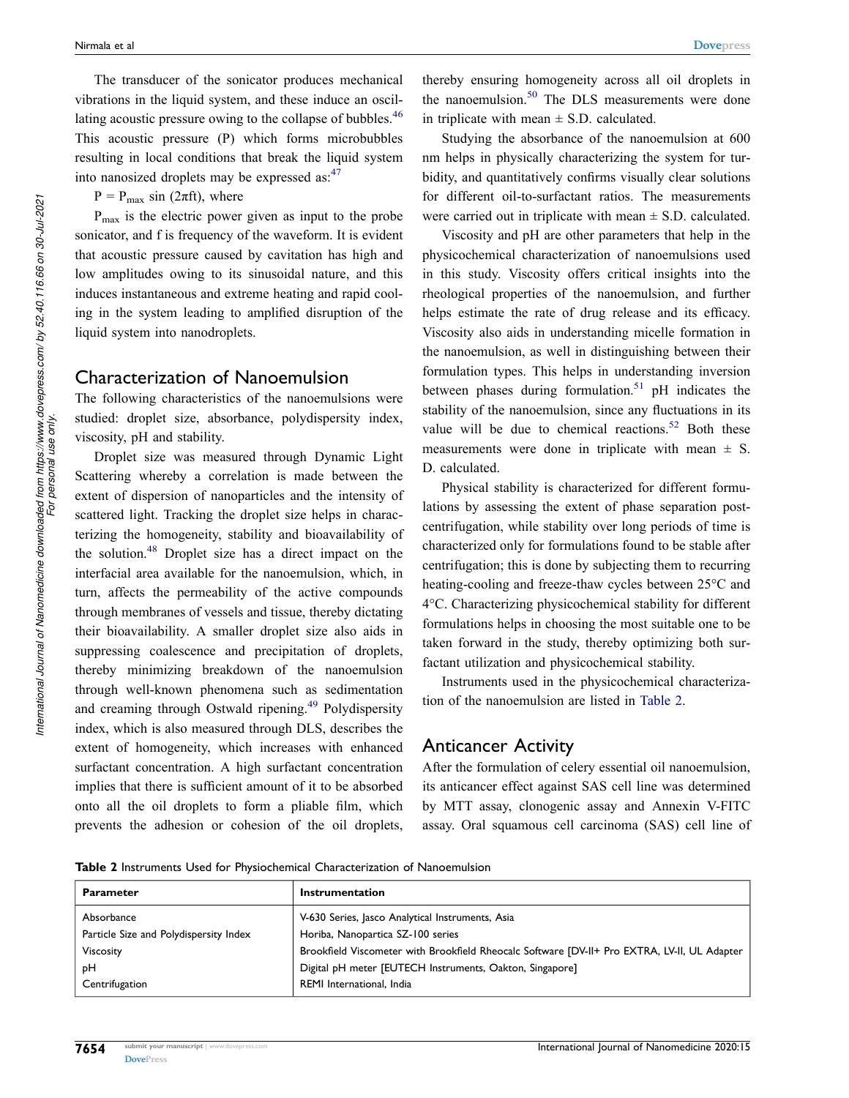<span id="page-3-2"></span>The transducer of the sonicator produces mechanical vibrations in the liquid system, and these induce an oscillating acoustic pressure owing to the collapse of bubbles.<sup>46</sup> This acoustic pressure (P) which forms microbubbles resulting in local conditions that break the liquid system into nanosized droplets may be expressed as:<sup>[47](#page-13-29)</sup>

<span id="page-3-3"></span> $P = P_{\text{max}} \sin (2\pi ft)$ , where

Pmax is the electric power given as input to the probe sonicator, and f is frequency of the waveform. It is evident that acoustic pressure caused by cavitation has high and low amplitudes owing to its sinusoidal nature, and this induces instantaneous and extreme heating and rapid cooling in the system leading to amplified disruption of the liquid system into nanodroplets.

#### <span id="page-3-1"></span>Characterization of Nanoemulsion

The following characteristics of the nanoemulsions were studied: droplet size, absorbance, polydispersity index, viscosity, pH and stability.

<span id="page-3-4"></span>Droplet size was measured through Dynamic Light Scattering whereby a correlation is made between the extent of dispersion of nanoparticles and the intensity of scattered light. Tracking the droplet size helps in characterizing the homogeneity, stability and bioavailability of the solution.[48](#page-13-30) Droplet size has a direct impact on the interfacial area available for the nanoemulsion, which, in turn, affects the permeability of the active compounds through membranes of vessels and tissue, thereby dictating their bioavailability. A smaller droplet size also aids in suppressing coalescence and precipitation of droplets, thereby minimizing breakdown of the nanoemulsion through well-known phenomena such as sedimentation and creaming through Ostwald ripening.<sup>[49](#page-13-31)</sup> Polydispersity index, which is also measured through DLS, describes the extent of homogeneity, which increases with enhanced surfactant concentration. A high surfactant concentration implies that there is sufficient amount of it to be absorbed onto all the oil droplets to form a pliable film, which prevents the adhesion or cohesion of the oil droplets,

<span id="page-3-6"></span>thereby ensuring homogeneity across all oil droplets in the nanoemulsion.<sup>50</sup> The DLS measurements were done in triplicate with mean  $\pm$  S.D. calculated.

Studying the absorbance of the nanoemulsion at 600 nm helps in physically characterizing the system for turbidity, and quantitatively confirms visually clear solutions for different oil-to-surfactant ratios. The measurements were carried out in triplicate with mean  $\pm$  S.D. calculated.

Viscosity and pH are other parameters that help in the physicochemical characterization of nanoemulsions used in this study. Viscosity offers critical insights into the rheological properties of the nanoemulsion, and further helps estimate the rate of drug release and its efficacy. Viscosity also aids in understanding micelle formation in the nanoemulsion, as well in distinguishing between their formulation types. This helps in understanding inversion between phases during formulation.<sup>51</sup> pH indicates the stability of the nanoemulsion, since any fluctuations in its value will be due to chemical reactions.<sup>[52](#page-13-34)</sup> Both these measurements were done in triplicate with mean  $\pm$  S. D. calculated.

<span id="page-3-8"></span><span id="page-3-7"></span>Physical stability is characterized for different formulations by assessing the extent of phase separation postcentrifugation, while stability over long periods of time is characterized only for formulations found to be stable after centrifugation; this is done by subjecting them to recurring heating-cooling and freeze-thaw cycles between 25°C and 4°C. Characterizing physicochemical stability for different formulations helps in choosing the most suitable one to be taken forward in the study, thereby optimizing both surfactant utilization and physicochemical stability.

Instruments used in the physicochemical characterization of the nanoemulsion are listed in [Table 2](#page-3-0).

### Anticancer Activity

After the formulation of celery essential oil nanoemulsion, its anticancer effect against SAS cell line was determined by MTT assay, clonogenic assay and Annexin V-FITC assay. Oral squamous cell carcinoma (SAS) cell line of

<span id="page-3-5"></span><span id="page-3-0"></span>**Table 2** Instruments Used for Physiochemical Characterization of Nanoemulsion

| <b>Parameter</b>                       | Instrumentation                                                                              |  |
|----------------------------------------|----------------------------------------------------------------------------------------------|--|
| Absorbance                             | V-630 Series, Jasco Analytical Instruments, Asia                                             |  |
| Particle Size and Polydispersity Index | Horiba, Nanopartica SZ-100 series                                                            |  |
| Viscosity                              | Brookfield Viscometer with Brookfield Rheocalc Software [DV-II+ Pro EXTRA, LV-II, UL Adapter |  |
| pН                                     | Digital pH meter [EUTECH Instruments, Oakton, Singapore]                                     |  |
| Centrifugation                         | REMI International, India                                                                    |  |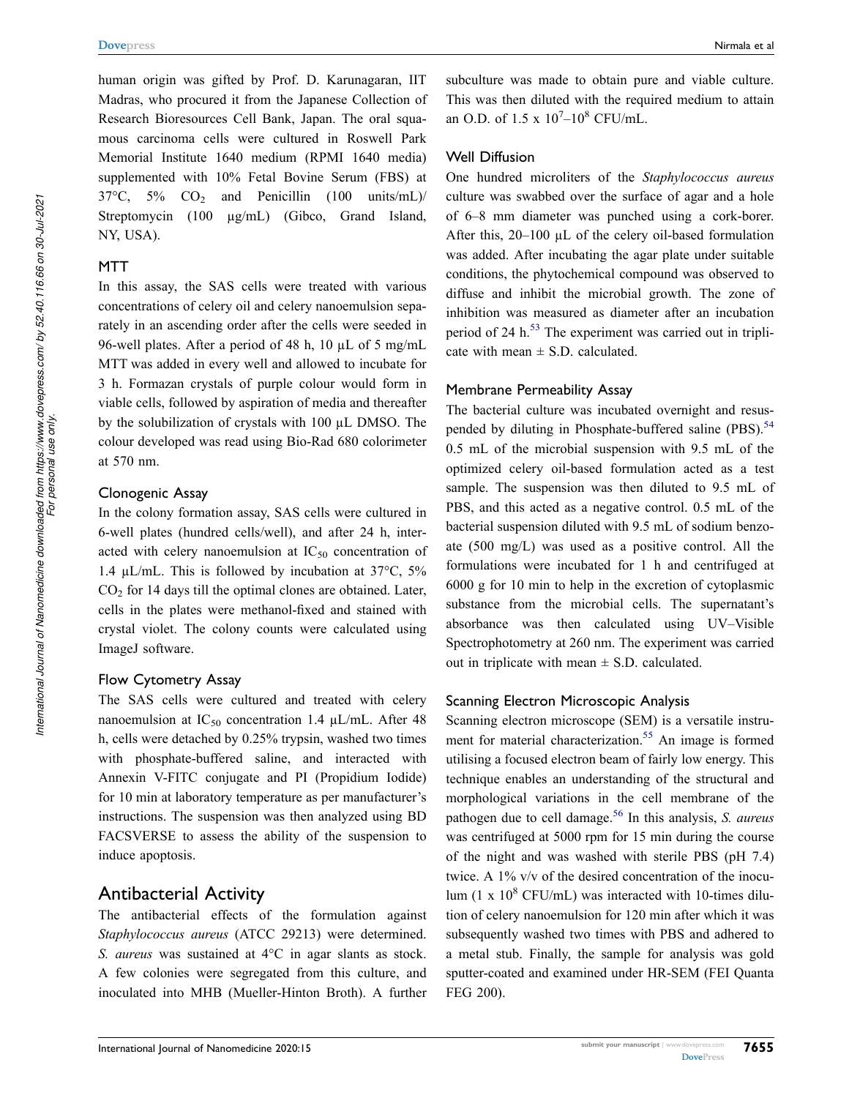human origin was gifted by Prof. D. Karunagaran, IIT Madras, who procured it from the Japanese Collection of Research Bioresources Cell Bank, Japan. The oral squamous carcinoma cells were cultured in Roswell Park Memorial Institute 1640 medium (RPMI 1640 media) supplemented with 10% Fetal Bovine Serum (FBS) at  $37^{\circ}$ C,  $5\%$  CO<sub>2</sub> and Penicillin (100 units/mL)/ Streptomycin (100 µg/mL) (Gibco, Grand Island, NY, USA).

#### **MTT**

In this assay, the SAS cells were treated with various concentrations of celery oil and celery nanoemulsion separately in an ascending order after the cells were seeded in 96-well plates. After a period of 48 h, 10 µL of 5 mg/mL MTT was added in every well and allowed to incubate for 3 h. Formazan crystals of purple colour would form in viable cells, followed by aspiration of media and thereafter by the solubilization of crystals with 100 µL DMSO. The colour developed was read using Bio-Rad 680 colorimeter at 570 nm.

#### Clonogenic Assay

In the colony formation assay, SAS cells were cultured in 6-well plates (hundred cells/well), and after 24 h, interacted with celery nanoemulsion at  $IC_{50}$  concentration of 1.4 µL/mL. This is followed by incubation at 37°C, 5%  $CO<sub>2</sub>$  for 14 days till the optimal clones are obtained. Later, cells in the plates were methanol-fixed and stained with crystal violet. The colony counts were calculated using ImageJ software.

#### Flow Cytometry Assay

The SAS cells were cultured and treated with celery nanoemulsion at  $IC_{50}$  concentration 1.4  $\mu L/mL$ . After 48 h, cells were detached by 0.25% trypsin, washed two times with phosphate-buffered saline, and interacted with Annexin V-FITC conjugate and PI (Propidium Iodide) for 10 min at laboratory temperature as per manufacturer's instructions. The suspension was then analyzed using BD FACSVERSE to assess the ability of the suspension to induce apoptosis.

# Antibacterial Activity

The antibacterial effects of the formulation against *Staphylococcus aureus* (ATCC 29213) were determined. *S. aureus* was sustained at 4°C in agar slants as stock. A few colonies were segregated from this culture, and inoculated into MHB (Mueller-Hinton Broth). A further subculture was made to obtain pure and viable culture. This was then diluted with the required medium to attain an O.D. of  $1.5 \times 10^{7} - 10^{8}$  CFU/mL.

#### Well Diffusion

One hundred microliters of the *Staphylococcus aureus*  culture was swabbed over the surface of agar and a hole of 6–8 mm diameter was punched using a cork-borer. After this,  $20-100 \mu L$  of the celery oil-based formulation was added. After incubating the agar plate under suitable conditions, the phytochemical compound was observed to diffuse and inhibit the microbial growth. The zone of inhibition was measured as diameter after an incubation period of 24  $h$ <sup>53</sup>. The experiment was carried out in triplicate with mean  $\pm$  S.D. calculated.

#### <span id="page-4-0"></span>Membrane Permeability Assay

<span id="page-4-1"></span>The bacterial culture was incubated overnight and resus-pended by diluting in Phosphate-buffered saline (PBS).<sup>[54](#page-14-0)</sup> 0.5 mL of the microbial suspension with 9.5 mL of the optimized celery oil-based formulation acted as a test sample. The suspension was then diluted to 9.5 mL of PBS, and this acted as a negative control. 0.5 mL of the bacterial suspension diluted with 9.5 mL of sodium benzoate (500 mg/L) was used as a positive control. All the formulations were incubated for 1 h and centrifuged at 6000 g for 10 min to help in the excretion of cytoplasmic substance from the microbial cells. The supernatant's absorbance was then calculated using UV–Visible Spectrophotometry at 260 nm. The experiment was carried out in triplicate with mean  $\pm$  S.D. calculated.

#### Scanning Electron Microscopic Analysis

<span id="page-4-3"></span><span id="page-4-2"></span>Scanning electron microscope (SEM) is a versatile instru-ment for material characterization.<sup>[55](#page-14-1)</sup> An image is formed utilising a focused electron beam of fairly low energy. This technique enables an understanding of the structural and morphological variations in the cell membrane of the pathogen due to cell damage.[56](#page-14-2) In this analysis, *S. aureus*  was centrifuged at 5000 rpm for 15 min during the course of the night and was washed with sterile PBS (pH 7.4) twice. A 1% v/v of the desired concentration of the inoculum (1 x  $10^8$  CFU/mL) was interacted with 10-times dilution of celery nanoemulsion for 120 min after which it was subsequently washed two times with PBS and adhered to a metal stub. Finally, the sample for analysis was gold sputter-coated and examined under HR-SEM (FEI Quanta FEG 200).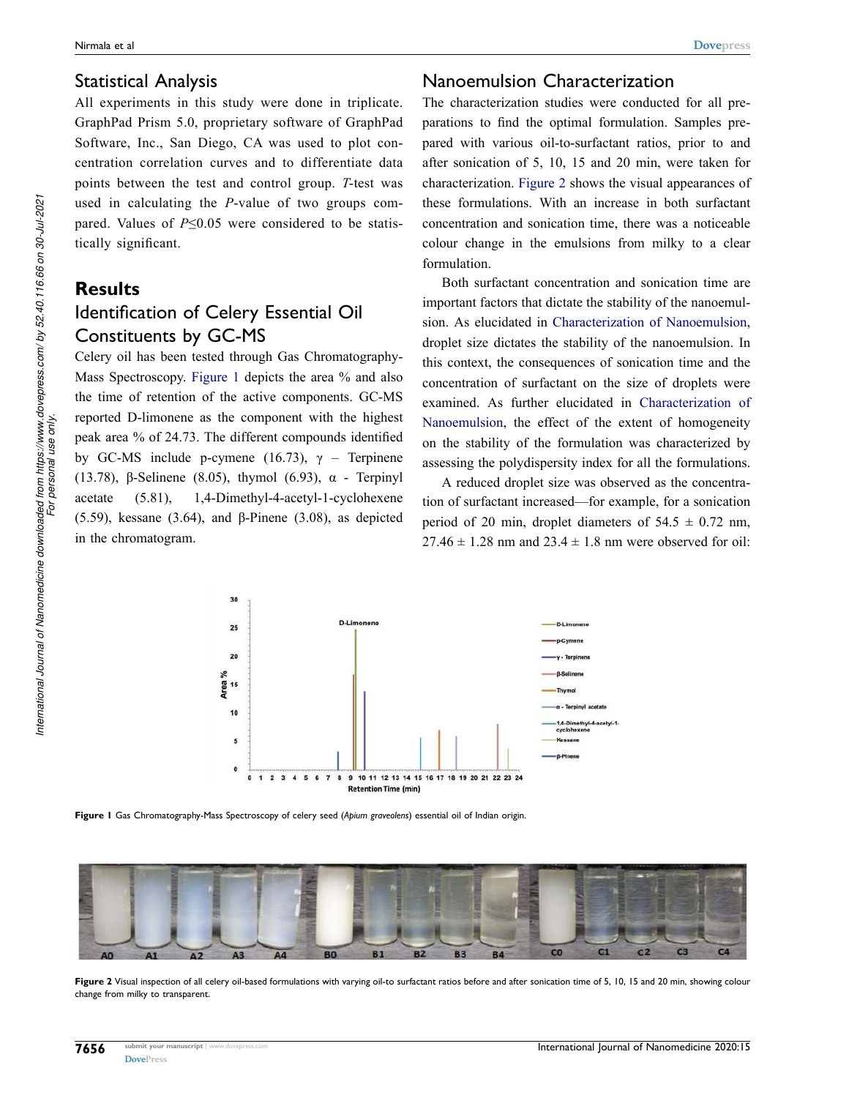# Statistical Analysis

All experiments in this study were done in triplicate. GraphPad Prism 5.0, proprietary software of GraphPad Software, Inc., San Diego, CA was used to plot concentration correlation curves and to differentiate data points between the test and control group. *T*-test was used in calculating the *P*-value of two groups compared. Values of *P*≤0.05 were considered to be statistically significant.

# **Results** Identification of Celery Essential Oil Constituents by GC-MS

Celery oil has been tested through Gas Chromatography-Mass Spectroscopy. [Figure 1](#page-5-0) depicts the area % and also the time of retention of the active components. GC-MS reported D-limonene as the component with the highest peak area % of 24.73. The different compounds identified by GC-MS include p-cymene (16.73), γ – Terpinene (13.78), β-Selinene (8.05), thymol (6.93), α - Terpinyl acetate (5.81), 1,4-Dimethyl-4-acetyl-1-cyclohexene (5.59), kessane (3.64), and β-Pinene (3.08), as depicted in the chromatogram.

# Nanoemulsion Characterization

The characterization studies were conducted for all preparations to find the optimal formulation. Samples prepared with various oil-to-surfactant ratios, prior to and after sonication of 5, 10, 15 and 20 min, were taken for characterization. [Figure 2](#page-5-1) shows the visual appearances of these formulations. With an increase in both surfactant concentration and sonication time, there was a noticeable colour change in the emulsions from milky to a clear formulation.

Both surfactant concentration and sonication time are important factors that dictate the stability of the nanoemulsion. As elucidated in [Characterization of Nanoemulsion,](#page-3-1) droplet size dictates the stability of the nanoemulsion. In this context, the consequences of sonication time and the concentration of surfactant on the size of droplets were examined. As further elucidated in [Characterization of](#page-3-1) [Nanoemulsion](#page-3-1), the effect of the extent of homogeneity on the stability of the formulation was characterized by assessing the polydispersity index for all the formulations.

A reduced droplet size was observed as the concentration of surfactant increased—for example, for a sonication period of 20 min, droplet diameters of  $54.5 \pm 0.72$  nm,  $27.46 \pm 1.28$  nm and  $23.4 \pm 1.8$  nm were observed for oil:

<span id="page-5-0"></span>

**Figure 1** Gas Chromatography-Mass Spectroscopy of celery seed (*Apium graveolens*) essential oil of Indian origin.

<span id="page-5-1"></span>

**Figure 2** Visual inspection of all celery oil-based formulations with varying oil-to surfactant ratios before and after sonication time of 5, 10, 15 and 20 min, showing colour change from milky to transparent.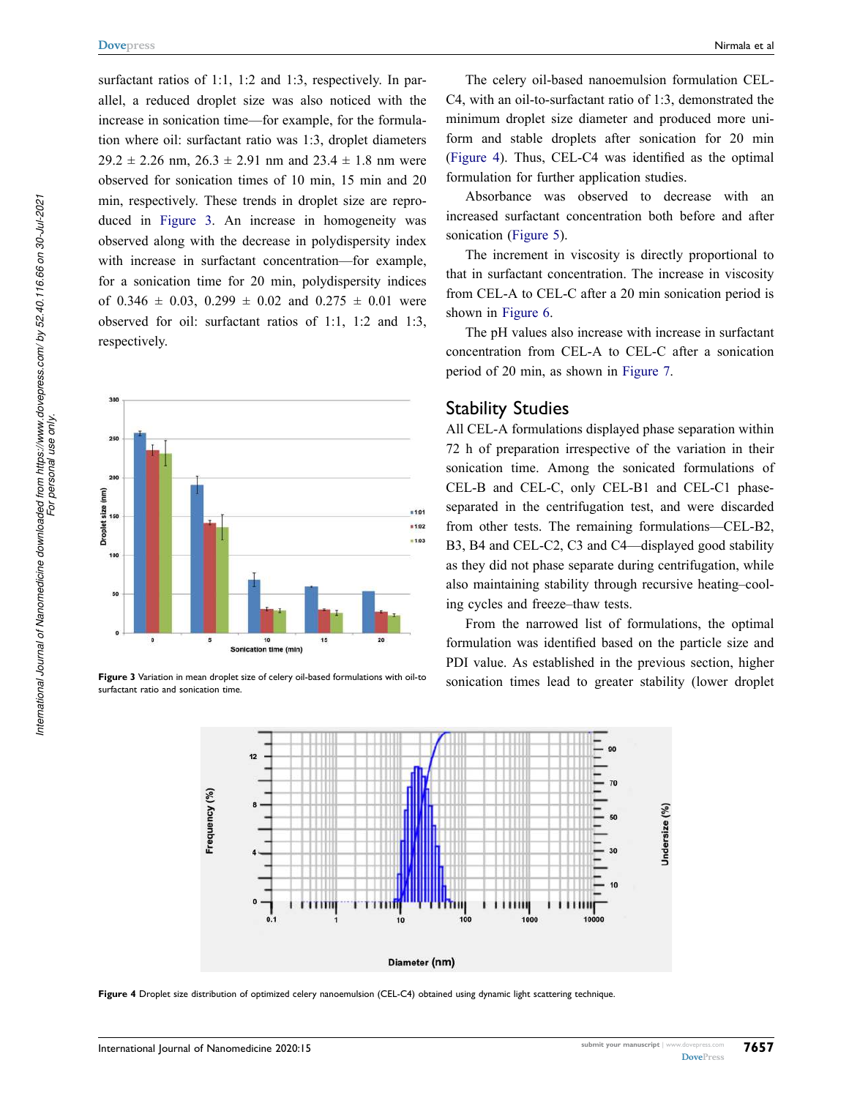surfactant ratios of 1:1, 1:2 and 1:3, respectively. In parallel, a reduced droplet size was also noticed with the increase in sonication time—for example, for the formulation where oil: surfactant ratio was 1:3, droplet diameters  $29.2 \pm 2.26$  nm,  $26.3 \pm 2.91$  nm and  $23.4 \pm 1.8$  nm were observed for sonication times of 10 min, 15 min and 20 min, respectively. These trends in droplet size are reproduced in [Figure 3.](#page-6-0) An increase in homogeneity was observed along with the decrease in polydispersity index with increase in surfactant concentration—for example, for a sonication time for 20 min, polydispersity indices of  $0.346 \pm 0.03$ ,  $0.299 \pm 0.02$  and  $0.275 \pm 0.01$  were observed for oil: surfactant ratios of 1:1, 1:2 and 1:3, respectively.

<span id="page-6-0"></span>

<span id="page-6-1"></span>surfactant ratio and sonication time.

The celery oil-based nanoemulsion formulation CEL-C4, with an oil-to-surfactant ratio of 1:3, demonstrated the minimum droplet size diameter and produced more uniform and stable droplets after sonication for 20 min [\(Figure 4\)](#page-6-1). Thus, CEL-C4 was identified as the optimal formulation for further application studies.

Absorbance was observed to decrease with an increased surfactant concentration both before and after sonication [\(Figure 5\)](#page-7-0).

The increment in viscosity is directly proportional to that in surfactant concentration. The increase in viscosity from CEL-A to CEL-C after a 20 min sonication period is shown in [Figure 6.](#page-7-1)

The pH values also increase with increase in surfactant concentration from CEL-A to CEL-C after a sonication period of 20 min, as shown in [Figure 7](#page-7-2).

#### Stability Studies

All CEL-A formulations displayed phase separation within 72 h of preparation irrespective of the variation in their sonication time. Among the sonicated formulations of CEL-B and CEL-C, only CEL-B1 and CEL-C1 phaseseparated in the centrifugation test, and were discarded from other tests. The remaining formulations—CEL-B2, B3, B4 and CEL-C2, C3 and C4—displayed good stability as they did not phase separate during centrifugation, while also maintaining stability through recursive heating–cooling cycles and freeze–thaw tests.

From the narrowed list of formulations, the optimal formulation was identified based on the particle size and PDI value. As established in the previous section, higher Figure 3 Variation in mean droplet size of celery oil-based formulations with oil-to sonication times lead to greater stability (lower droplet



**Figure 4** Droplet size distribution of optimized celery nanoemulsion (CEL-C4) obtained using dynamic light scattering technique.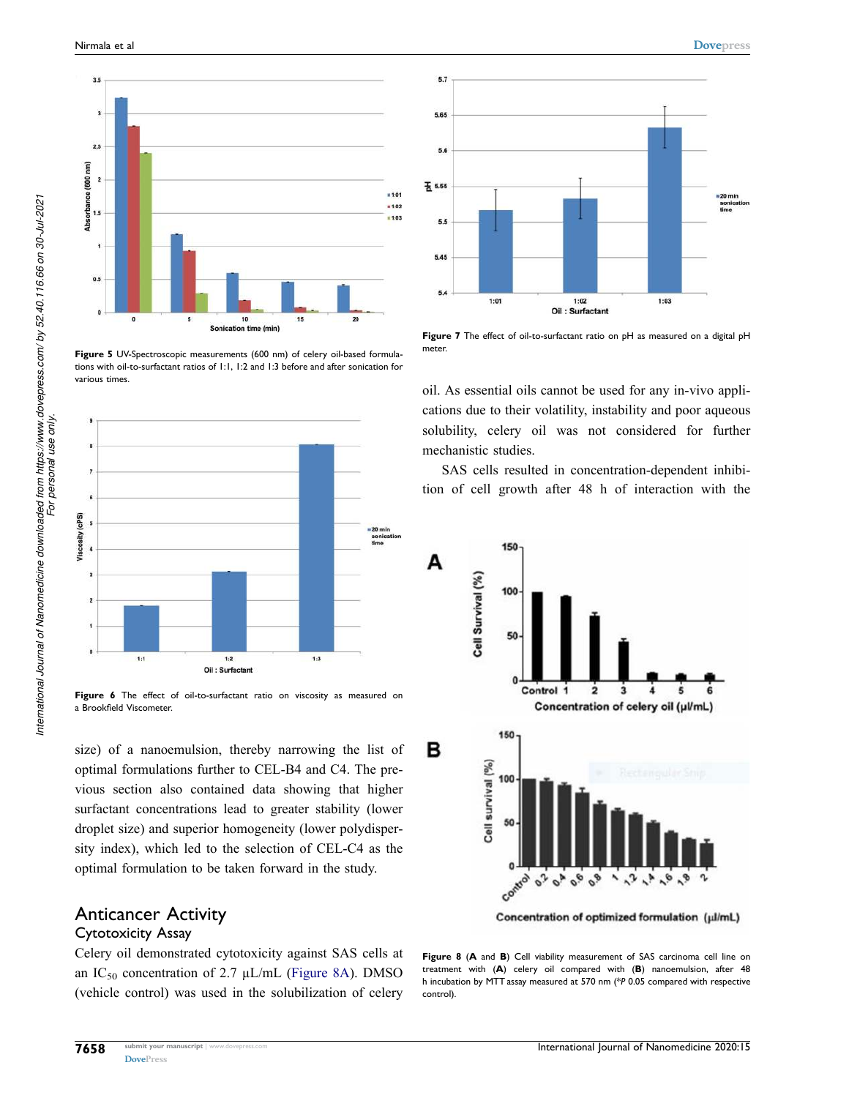<span id="page-7-0"></span>

**Figure 5** UV-Spectroscopic measurements (600 nm) of celery oil-based formulations with oil-to-surfactant ratios of 1:1, 1:2 and 1:3 before and after sonication for various times.

<span id="page-7-1"></span>

Figure 6 The effect of oil-to-surfactant ratio on viscosity as measured on a Brookfield Viscometer.

size) of a nanoemulsion, thereby narrowing the list of optimal formulations further to CEL-B4 and C4. The previous section also contained data showing that higher surfactant concentrations lead to greater stability (lower droplet size) and superior homogeneity (lower polydispersity index), which led to the selection of CEL-C4 as the optimal formulation to be taken forward in the study.

# Anticancer Activity

#### Cytotoxicity Assay

Celery oil demonstrated cytotoxicity against SAS cells at an  $IC_{50}$  concentration of 2.7  $\mu L/mL$  [\(Figure 8A](#page-7-3)). DMSO (vehicle control) was used in the solubilization of celery



<span id="page-7-2"></span> $5.7$ 

5.65

cations due to their volatility, instability and poor aqueous solubility, celery oil was not considered for further mechanistic studies.

SAS cells resulted in concentration-dependent inhibition of cell growth after 48 h of interaction with the

<span id="page-7-3"></span>

**Figure 8** (**A** and **B**) Cell viability measurement of SAS carcinoma cell line on treatment with (**A**) celery oil compared with (**B**) nanoemulsion, after 48 h incubation by MTT assay measured at 570 nm (\**P* 0.05 compared with respective control).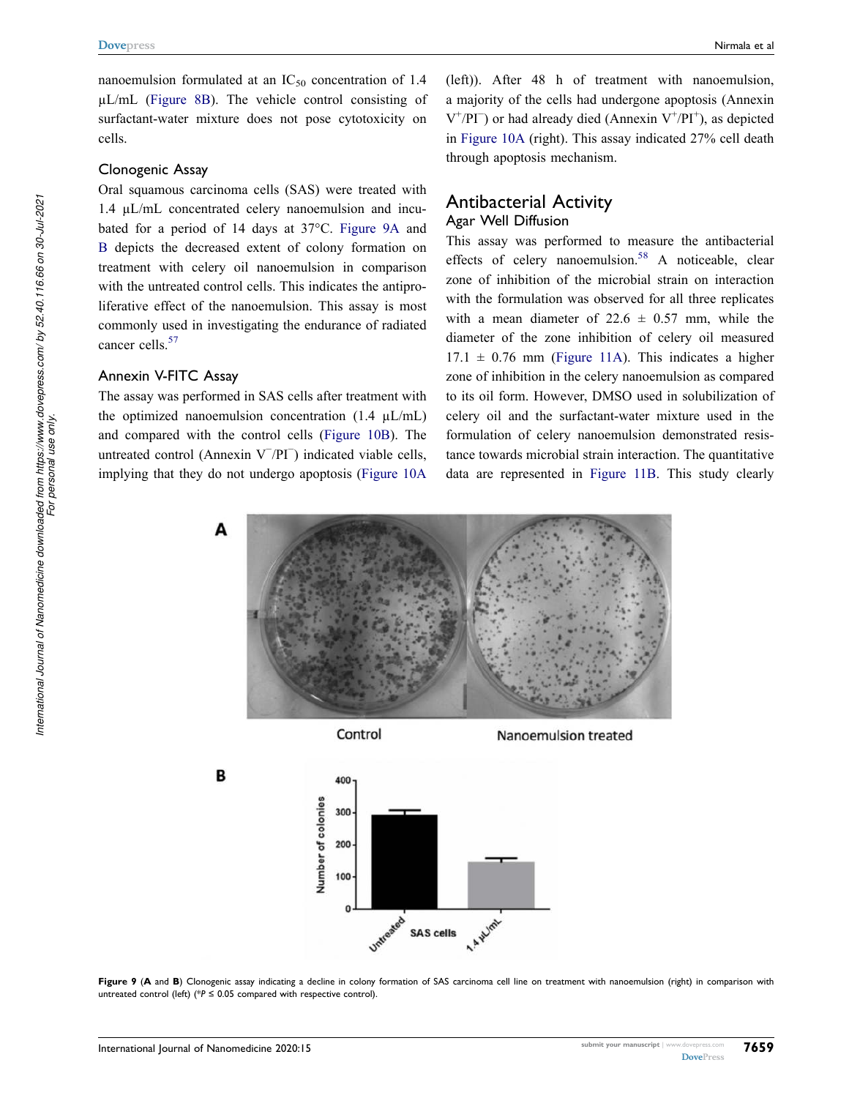nanoemulsion formulated at an  $IC_{50}$  concentration of 1.4 µL/mL ([Figure 8B\)](#page-7-3). The vehicle control consisting of surfactant-water mixture does not pose cytotoxicity on cells.

#### Clonogenic Assay

Oral squamous carcinoma cells (SAS) were treated with 1.4 µL/mL concentrated celery nanoemulsion and incubated for a period of 14 days at 37°C. [Figure 9A](#page-8-0) and [B](#page-8-0) depicts the decreased extent of colony formation on treatment with celery oil nanoemulsion in comparison with the untreated control cells. This indicates the antiproliferative effect of the nanoemulsion. This assay is most commonly used in investigating the endurance of radiated cancer cells.<sup>[57](#page-14-3)</sup>

#### <span id="page-8-1"></span>Annexin V-FITC Assay

The assay was performed in SAS cells after treatment with the optimized nanoemulsion concentration  $(1.4 \mu L/mL)$ and compared with the control cells ([Figure 10B](#page-9-0)). The untreated control (Annexin V<sup>−</sup> /PI<sup>−</sup> ) indicated viable cells, implying that they do not undergo apoptosis ([Figure 10A](#page-9-0) 

(left)). After 48 h of treatment with nanoemulsion, a majority of the cells had undergone apoptosis (Annexin  $V^+/PI^-$ ) or had already died (Annexin  $V^+/PI^+$ ), as depicted in [Figure 10A](#page-9-0) (right). This assay indicated 27% cell death through apoptosis mechanism.

#### Antibacterial Activity Agar Well Diffusion

<span id="page-8-2"></span>This assay was performed to measure the antibacterial effects of celery nanoemulsion.<sup>58</sup> A noticeable, clear zone of inhibition of the microbial strain on interaction with the formulation was observed for all three replicates with a mean diameter of  $22.6 \pm 0.57$  mm, while the diameter of the zone inhibition of celery oil measured  $17.1 \pm 0.76$  mm [\(Figure 11A](#page-10-0)). This indicates a higher zone of inhibition in the celery nanoemulsion as compared to its oil form. However, DMSO used in solubilization of celery oil and the surfactant-water mixture used in the formulation of celery nanoemulsion demonstrated resistance towards microbial strain interaction. The quantitative data are represented in [Figure 11B](#page-10-0). This study clearly

<span id="page-8-0"></span>



Nanoemulsion treated





*For personal use only.*

B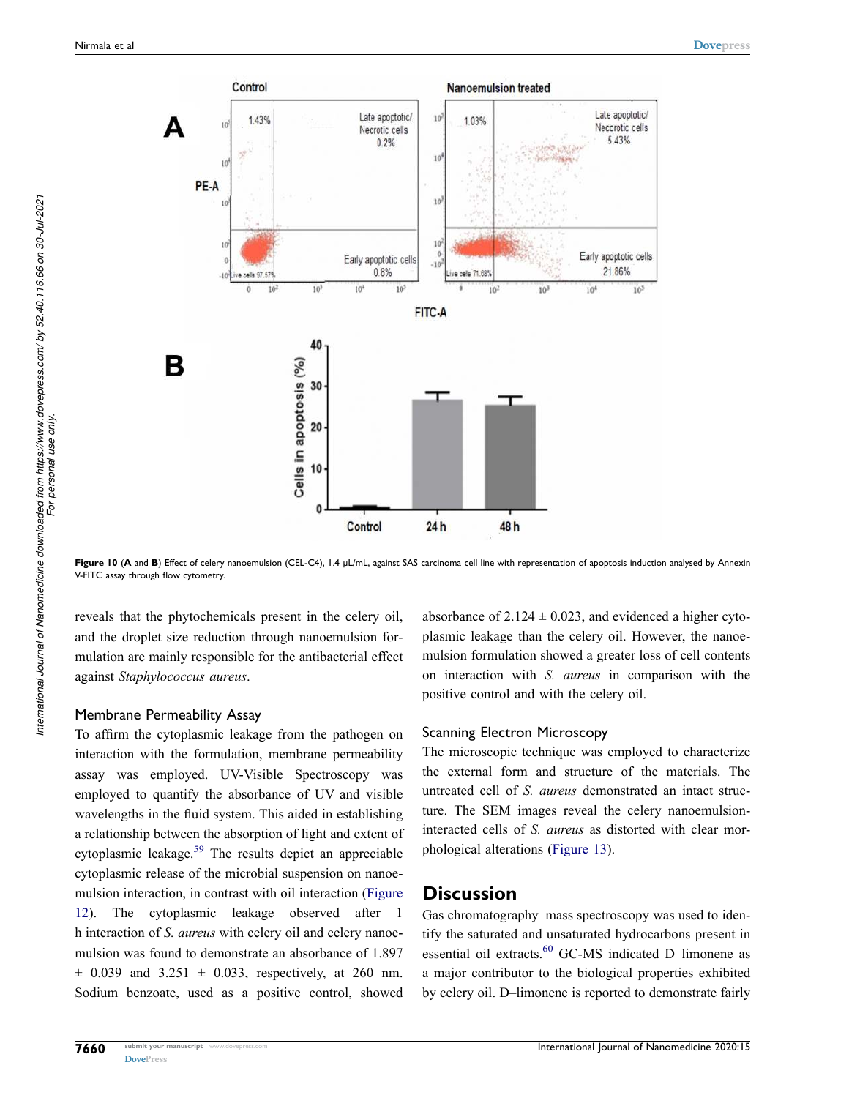<span id="page-9-0"></span>

Figure 10 (A and B) Effect of celery nanoemulsion (CEL-C4), 1.4 µL/mL, against SAS carcinoma cell line with representation of apoptosis induction analysed by Annexin V-FITC assay through flow cytometry.

reveals that the phytochemicals present in the celery oil, and the droplet size reduction through nanoemulsion formulation are mainly responsible for the antibacterial effect against *Staphylococcus aureus*.

#### Membrane Permeability Assay

<span id="page-9-1"></span>To affirm the cytoplasmic leakage from the pathogen on interaction with the formulation, membrane permeability assay was employed. UV-Visible Spectroscopy was employed to quantify the absorbance of UV and visible wavelengths in the fluid system. This aided in establishing a relationship between the absorption of light and extent of cytoplasmic leakage.[59](#page-14-5) The results depict an appreciable cytoplasmic release of the microbial suspension on nanoemulsion interaction, in contrast with oil interaction ([Figure](#page-10-1)  [12](#page-10-1)). The cytoplasmic leakage observed after 1 h interaction of *S. aureus* with celery oil and celery nanoemulsion was found to demonstrate an absorbance of 1.897  $\pm$  0.039 and 3.251  $\pm$  0.033, respectively, at 260 nm. Sodium benzoate, used as a positive control, showed absorbance of  $2.124 \pm 0.023$ , and evidenced a higher cytoplasmic leakage than the celery oil. However, the nanoemulsion formulation showed a greater loss of cell contents on interaction with *S. aureus* in comparison with the positive control and with the celery oil.

#### Scanning Electron Microscopy

The microscopic technique was employed to characterize the external form and structure of the materials. The untreated cell of *S. aureus* demonstrated an intact structure. The SEM images reveal the celery nanoemulsioninteracted cells of *S. aureus* as distorted with clear morphological alterations [\(Figure 13\)](#page-11-0).

#### **Discussion**

<span id="page-9-2"></span>Gas chromatography–mass spectroscopy was used to identify the saturated and unsaturated hydrocarbons present in essential oil extracts.<sup>60</sup> GC-MS indicated D-limonene as a major contributor to the biological properties exhibited by celery oil. D–limonene is reported to demonstrate fairly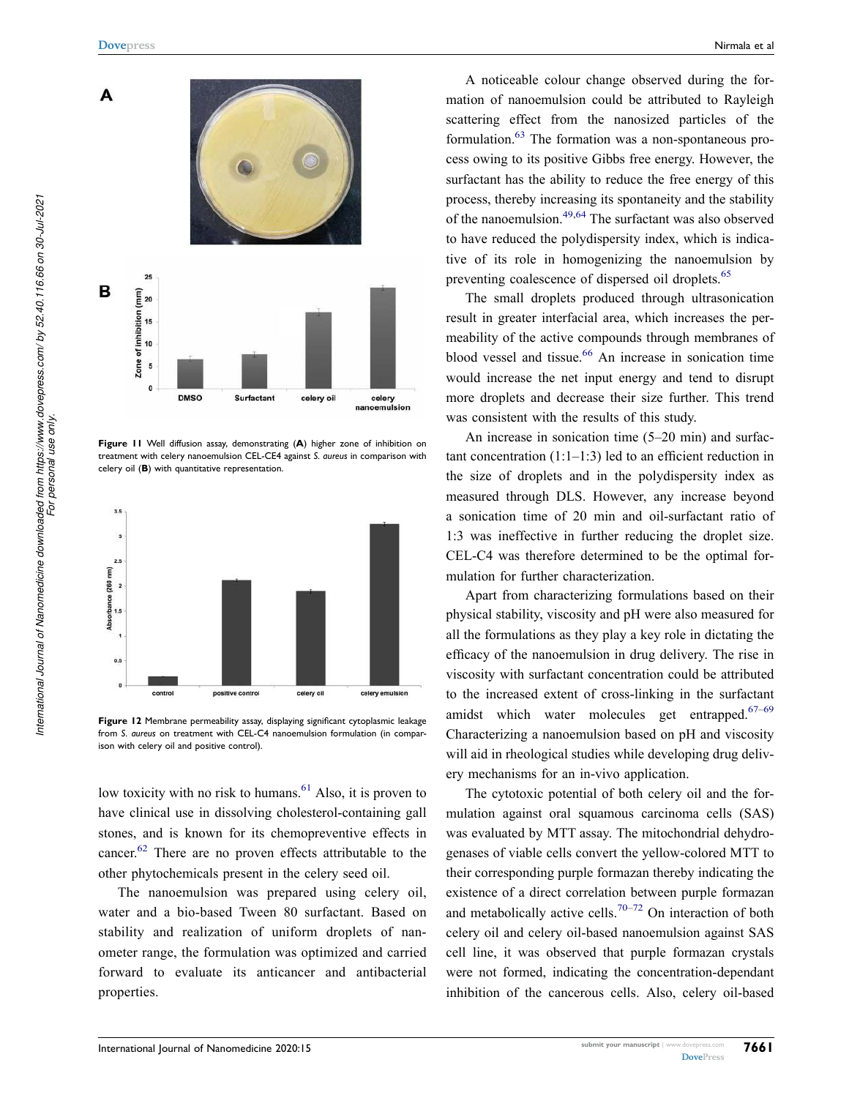<span id="page-10-0"></span>

**Figure 11** Well diffusion assay, demonstrating (**A**) higher zone of inhibition on treatment with celery nanoemulsion CEL-CE4 against *S. aureus* in comparison with celery oil (**B**) with quantitative representation.

<span id="page-10-1"></span>

**Figure 12** Membrane permeability assay, displaying significant cytoplasmic leakage from *S. aureus* on treatment with CEL-C4 nanoemulsion formulation (in comparison with celery oil and positive control).

<span id="page-10-2"></span>low toxicity with no risk to humans.<sup>61</sup> Also, it is proven to have clinical use in dissolving cholesterol-containing gall stones, and is known for its chemopreventive effects in cancer.[62](#page-14-8) There are no proven effects attributable to the other phytochemicals present in the celery seed oil.

<span id="page-10-3"></span>The nanoemulsion was prepared using celery oil, water and a bio-based Tween 80 surfactant. Based on stability and realization of uniform droplets of nanometer range, the formulation was optimized and carried forward to evaluate its anticancer and antibacterial properties.

<span id="page-10-4"></span>A noticeable colour change observed during the formation of nanoemulsion could be attributed to Rayleigh scattering effect from the nanosized particles of the formulation.[63](#page-14-9) The formation was a non-spontaneous process owing to its positive Gibbs free energy. However, the surfactant has the ability to reduce the free energy of this process, thereby increasing its spontaneity and the stability of the nanoemulsion.<sup>[49](#page-13-31),64</sup> The surfactant was also observed to have reduced the polydispersity index, which is indicative of its role in homogenizing the nanoemulsion by preventing coalescence of dispersed oil droplets.<sup>[65](#page-14-11)</sup>

<span id="page-10-7"></span><span id="page-10-6"></span><span id="page-10-5"></span>The small droplets produced through ultrasonication result in greater interfacial area, which increases the permeability of the active compounds through membranes of blood vessel and tissue. $66$  An increase in sonication time would increase the net input energy and tend to disrupt more droplets and decrease their size further. This trend was consistent with the results of this study.

An increase in sonication time (5–20 min) and surfactant concentration  $(1:1-1:3)$  led to an efficient reduction in the size of droplets and in the polydispersity index as measured through DLS. However, any increase beyond a sonication time of 20 min and oil-surfactant ratio of 1:3 was ineffective in further reducing the droplet size. CEL-C4 was therefore determined to be the optimal formulation for further characterization.

Apart from characterizing formulations based on their physical stability, viscosity and pH were also measured for all the formulations as they play a key role in dictating the efficacy of the nanoemulsion in drug delivery. The rise in viscosity with surfactant concentration could be attributed to the increased extent of cross-linking in the surfactant amidst which water molecules get entrapped. $67-69$  $67-69$  $67-69$ Characterizing a nanoemulsion based on pH and viscosity will aid in rheological studies while developing drug delivery mechanisms for an in-vivo application.

<span id="page-10-9"></span><span id="page-10-8"></span>The cytotoxic potential of both celery oil and the formulation against oral squamous carcinoma cells (SAS) was evaluated by MTT assay. The mitochondrial dehydrogenases of viable cells convert the yellow-colored MTT to their corresponding purple formazan thereby indicating the existence of a direct correlation between purple formazan and metabolically active cells.<sup>[70](#page-14-15)[–72](#page-14-16)</sup> On interaction of both celery oil and celery oil-based nanoemulsion against SAS cell line, it was observed that purple formazan crystals were not formed, indicating the concentration-dependant inhibition of the cancerous cells. Also, celery oil-based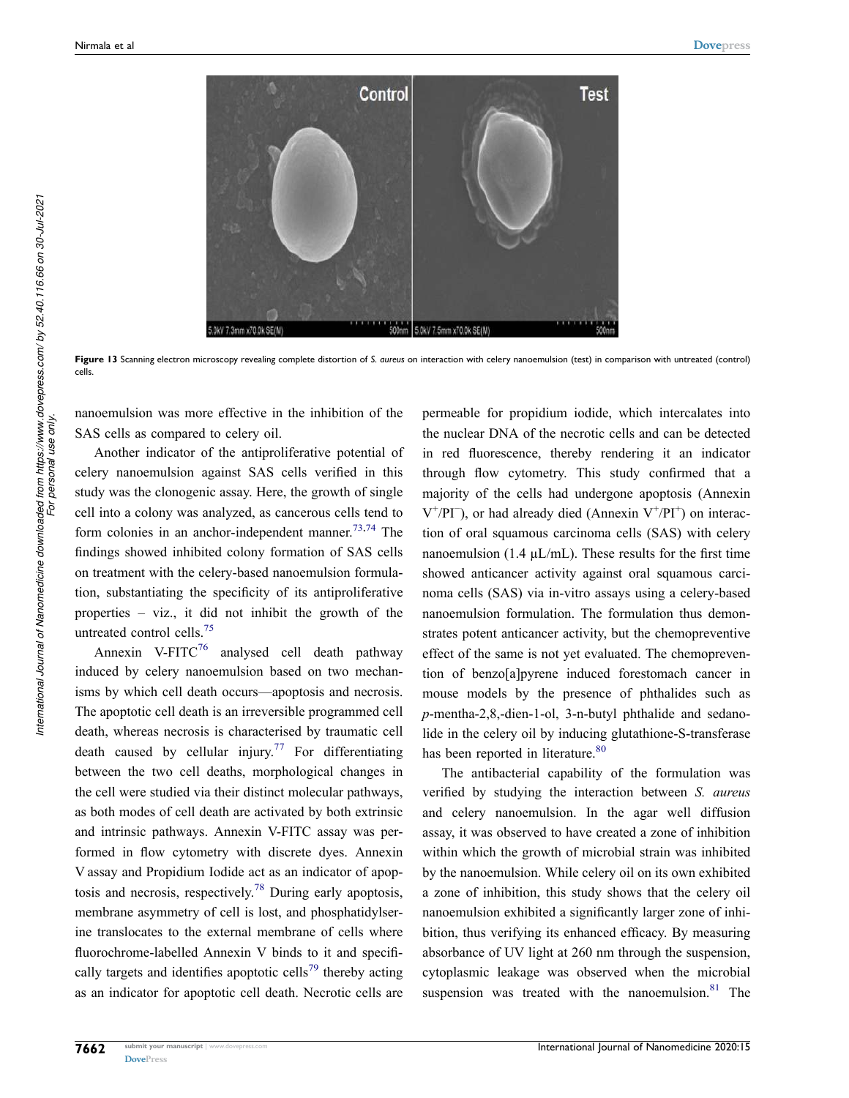<span id="page-11-0"></span>

**Figure 13** Scanning electron microscopy revealing complete distortion of *S. aureus* on interaction with celery nanoemulsion (test) in comparison with untreated (control) cells.

nanoemulsion was more effective in the inhibition of the SAS cells as compared to celery oil.

<span id="page-11-1"></span>Another indicator of the antiproliferative potential of celery nanoemulsion against SAS cells verified in this study was the clonogenic assay. Here, the growth of single cell into a colony was analyzed, as cancerous cells tend to form colonies in an anchor-independent manner.<sup>[73,](#page-14-17)[74](#page-14-18)</sup> The findings showed inhibited colony formation of SAS cells on treatment with the celery-based nanoemulsion formulation, substantiating the specificity of its antiproliferative properties – viz., it did not inhibit the growth of the untreated control cells.[75](#page-14-19)

<span id="page-11-6"></span><span id="page-11-5"></span><span id="page-11-4"></span><span id="page-11-3"></span><span id="page-11-2"></span>Annexin V-FITC $^{76}$  $^{76}$  $^{76}$  analysed cell death pathway induced by celery nanoemulsion based on two mechanisms by which cell death occurs—apoptosis and necrosis. The apoptotic cell death is an irreversible programmed cell death, whereas necrosis is characterised by traumatic cell death caused by cellular injury.<sup>[77](#page-14-21)</sup> For differentiating between the two cell deaths, morphological changes in the cell were studied via their distinct molecular pathways, as both modes of cell death are activated by both extrinsic and intrinsic pathways. Annexin V-FITC assay was performed in flow cytometry with discrete dyes. Annexin V assay and Propidium Iodide act as an indicator of apoptosis and necrosis, respectively.[78](#page-14-22) During early apoptosis, membrane asymmetry of cell is lost, and phosphatidylserine translocates to the external membrane of cells where fluorochrome-labelled Annexin V binds to it and specifically targets and identifies apoptotic cells<sup>79</sup> thereby acting as an indicator for apoptotic cell death. Necrotic cells are permeable for propidium iodide, which intercalates into the nuclear DNA of the necrotic cells and can be detected in red fluorescence, thereby rendering it an indicator through flow cytometry. This study confirmed that a majority of the cells had undergone apoptosis (Annexin  $V^+/PI^-$ ), or had already died (Annexin  $V^+/PI^+$ ) on interaction of oral squamous carcinoma cells (SAS) with celery nanoemulsion (1.4  $\mu$ L/mL). These results for the first time showed anticancer activity against oral squamous carcinoma cells (SAS) via in-vitro assays using a celery-based nanoemulsion formulation. The formulation thus demonstrates potent anticancer activity, but the chemopreventive effect of the same is not yet evaluated. The chemoprevention of benzo[a]pyrene induced forestomach cancer in mouse models by the presence of phthalides such as *p*-mentha-2,8,-dien-1-ol, 3-n-butyl phthalide and sedanolide in the celery oil by inducing glutathione-S-transferase has been reported in literature.<sup>[80](#page-14-24)</sup>

<span id="page-11-8"></span><span id="page-11-7"></span>The antibacterial capability of the formulation was verified by studying the interaction between *S. aureus*  and celery nanoemulsion. In the agar well diffusion assay, it was observed to have created a zone of inhibition within which the growth of microbial strain was inhibited by the nanoemulsion. While celery oil on its own exhibited a zone of inhibition, this study shows that the celery oil nanoemulsion exhibited a significantly larger zone of inhibition, thus verifying its enhanced efficacy. By measuring absorbance of UV light at 260 nm through the suspension, cytoplasmic leakage was observed when the microbial suspension was treated with the nanoemulsion. $81$  The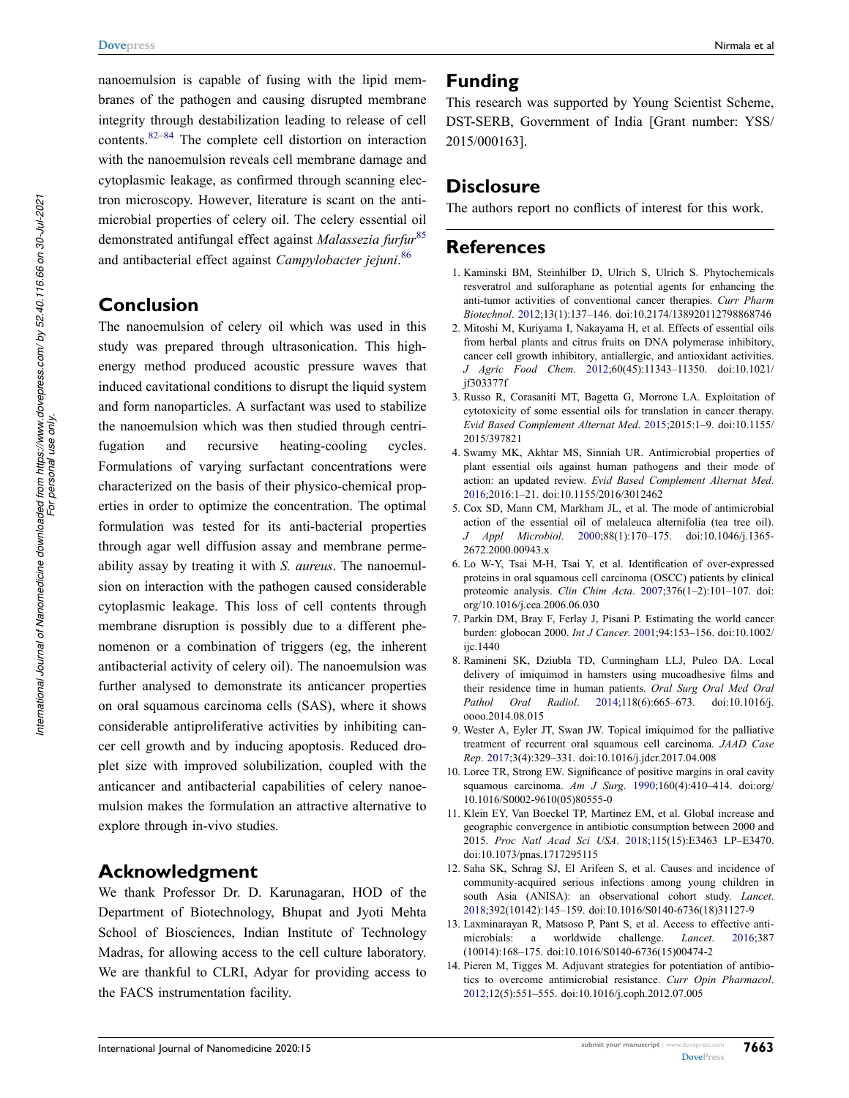<span id="page-12-14"></span>nanoemulsion is capable of fusing with the lipid membranes of the pathogen and causing disrupted membrane integrity through destabilization leading to release of cell contents.[82](#page-14-26)[–84](#page-14-27) The complete cell distortion on interaction with the nanoemulsion reveals cell membrane damage and cytoplasmic leakage, as confirmed through scanning electron microscopy. However, literature is scant on the antimicrobial properties of celery oil. The celery essential oil demonstrated antifungal effect against *Malassezia furfur*[85](#page-14-28)  and antibacterial effect against *Campylobacter jejuni*. [86](#page-14-29)

# <span id="page-12-16"></span><span id="page-12-15"></span>**Conclusion**

The nanoemulsion of celery oil which was used in this study was prepared through ultrasonication. This highenergy method produced acoustic pressure waves that induced cavitational conditions to disrupt the liquid system and form nanoparticles. A surfactant was used to stabilize the nanoemulsion which was then studied through centrifugation and recursive heating-cooling cycles. Formulations of varying surfactant concentrations were characterized on the basis of their physico-chemical properties in order to optimize the concentration. The optimal formulation was tested for its anti-bacterial properties through agar well diffusion assay and membrane permeability assay by treating it with *S. aureus*. The nanoemulsion on interaction with the pathogen caused considerable cytoplasmic leakage. This loss of cell contents through membrane disruption is possibly due to a different phenomenon or a combination of triggers (eg, the inherent antibacterial activity of celery oil). The nanoemulsion was further analysed to demonstrate its anticancer properties on oral squamous carcinoma cells (SAS), where it shows considerable antiproliferative activities by inhibiting cancer cell growth and by inducing apoptosis. Reduced droplet size with improved solubilization, coupled with the anticancer and antibacterial capabilities of celery nanoemulsion makes the formulation an attractive alternative to explore through in-vivo studies.

# **Acknowledgment**

We thank Professor Dr. D. Karunagaran, HOD of the Department of Biotechnology, Bhupat and Jyoti Mehta School of Biosciences, Indian Institute of Technology Madras, for allowing access to the cell culture laboratory. We are thankful to CLRI, Adyar for providing access to the FACS instrumentation facility.

#### **Funding**

This research was supported by Young Scientist Scheme, DST-SERB, Government of India [Grant number: YSS/ 2015/000163].

# **Disclosure**

The authors report no conflicts of interest for this work.

# **References**

- <span id="page-12-0"></span>1. Kaminski BM, Steinhilber D, Ulrich S, Ulrich S. Phytochemicals resveratrol and sulforaphane as potential agents for enhancing the anti-tumor activities of conventional cancer therapies. *Curr Pharm Biotechnol*. [2012;](#page-1-0)13(1):137–146. doi:[10.2174/138920112798868746](https://doi.org/10.2174/138920112798868746)
- <span id="page-12-1"></span>2. Mitoshi M, Kuriyama I, Nakayama H, et al. Effects of essential oils from herbal plants and citrus fruits on DNA polymerase inhibitory, cancer cell growth inhibitory, antiallergic, and antioxidant activities. *J Agric Food Chem*. [2012](#page-1-1);60(45):11343–11350. doi:[10.1021/](https://doi.org/10.1021/jf303377f) [jf303377f](https://doi.org/10.1021/jf303377f)
- <span id="page-12-2"></span>3. Russo R, Corasaniti MT, Bagetta G, Morrone LA. Exploitation of cytotoxicity of some essential oils for translation in cancer therapy. *Evid Based Complement Alternat Med*. [2015;](#page-1-1)2015:1–9. doi:[10.1155/](https://doi.org/10.1155/2015/397821) [2015/397821](https://doi.org/10.1155/2015/397821)
- <span id="page-12-3"></span>4. Swamy MK, Akhtar MS, Sinniah UR. Antimicrobial properties of plant essential oils against human pathogens and their mode of action: an updated review. *Evid Based Complement Alternat Med*. [2016](#page-1-2);2016:1–21. doi:[10.1155/2016/3012462](https://doi.org/10.1155/2016/3012462)
- <span id="page-12-4"></span>5. Cox SD, Mann CM, Markham JL, et al. The mode of antimicrobial action of the essential oil of melaleuca alternifolia (tea tree oil). *J Appl Microbiol*. [2000](#page-1-2);88(1):170–175. doi:[10.1046/j.1365-](https://doi.org/10.1046/j.1365-2672.2000.00943.x) [2672.2000.00943.x](https://doi.org/10.1046/j.1365-2672.2000.00943.x)
- <span id="page-12-5"></span>6. Lo W-Y, Tsai M-H, Tsai Y, et al. Identification of over-expressed proteins in oral squamous cell carcinoma (OSCC) patients by clinical proteomic analysis. *Clin Chim Acta*. [2007](#page-1-3);376(1–2):101–107. doi[:](https://doi.org/org/10.1016/j.cca.2006.06.030)  [org/10.1016/j.cca.2006.06.030](https://doi.org/org/10.1016/j.cca.2006.06.030)
- <span id="page-12-6"></span>7. Parkin DM, Bray F, Ferlay J, Pisani P. Estimating the world cancer burden: globocan 2000. *Int J Cancer*. [2001](#page-1-4);94:153–156. doi:[10.1002/](https://doi.org/10.1002/ijc.1440) [ijc.1440](https://doi.org/10.1002/ijc.1440)
- <span id="page-12-7"></span>8. Ramineni SK, Dziubla TD, Cunningham LLJ, Puleo DA. Local delivery of imiquimod in hamsters using mucoadhesive films and their residence time in human patients. *Oral Surg Oral Med Oral Pathol Oral Radiol*. [2014](#page-1-5);118(6):665–673. doi:[10.1016/j.](https://doi.org/10.1016/j.oooo.2014.08.015) [oooo.2014.08.015](https://doi.org/10.1016/j.oooo.2014.08.015)
- <span id="page-12-8"></span>9. Wester A, Eyler JT, Swan JW. Topical imiquimod for the palliative treatment of recurrent oral squamous cell carcinoma. *JAAD Case Rep*. [2017](#page-1-6);3(4):329–331. doi:[10.1016/j.jdcr.2017.04.008](https://doi.org/10.1016/j.jdcr.2017.04.008)
- <span id="page-12-9"></span>10. Loree TR, Strong EW. Significance of positive margins in oral cavity squamous carcinoma. *Am J Surg*. [1990;](#page-1-7)160(4):410–414. doi:[org/](https://doi.org/org/10.1016/S0002-9610(05)80555-0) [10.1016/S0002-9610\(05\)80555-0](https://doi.org/org/10.1016/S0002-9610(05)80555-0)
- <span id="page-12-10"></span>11. Klein EY, Van Boeckel TP, Martinez EM, et al. Global increase and geographic convergence in antibiotic consumption between 2000 and 2015. *Proc Natl Acad Sci USA*. [2018](#page-1-8);115(15):E3463 LP–E3470. doi:[10.1073/pnas.1717295115](https://doi.org/10.1073/pnas.1717295115)
- <span id="page-12-11"></span>12. Saha SK, Schrag SJ, El Arifeen S, et al. Causes and incidence of community-acquired serious infections among young children in south Asia (ANISA): an observational cohort study. *Lancet*. [2018](#page-1-9);392(10142):145–159. doi:[10.1016/S0140-6736\(18\)31127-9](https://doi.org/10.1016/S0140-6736(18)31127-9)
- <span id="page-12-12"></span>13. Laxminarayan R, Matsoso P, Pant S, et al. Access to effective antimicrobials: a worldwide challenge. *Lancet*. [2016](#page-1-10);387 (10014):168–175. doi:[10.1016/S0140-6736\(15\)00474-2](https://doi.org/10.1016/S0140-6736(15)00474-2)
- <span id="page-12-13"></span>14. Pieren M, Tigges M. Adjuvant strategies for potentiation of antibiotics to overcome antimicrobial resistance. *Curr Opin Pharmacol*. [2012](#page-1-10);12(5):551–555. doi:[10.1016/j.coph.2012.07.005](https://doi.org/10.1016/j.coph.2012.07.005)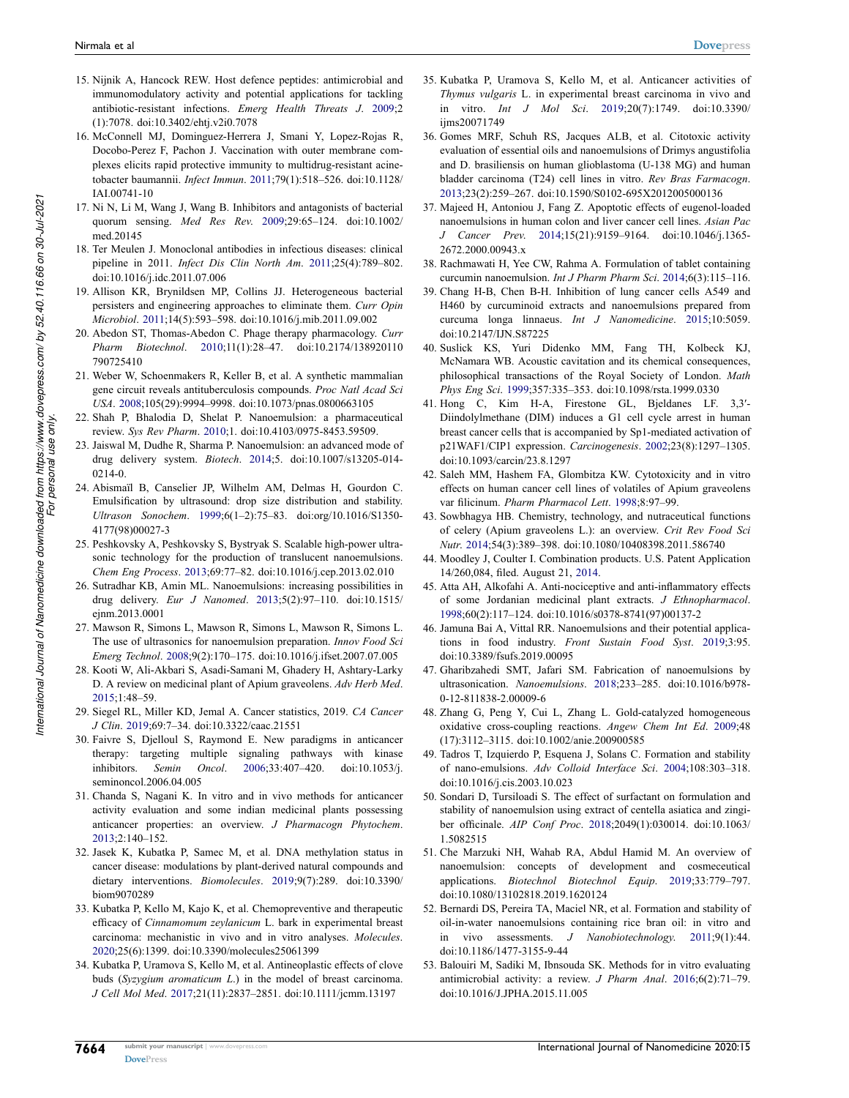- <span id="page-13-0"></span>15. Nijnik A, Hancock REW. Host defence peptides: antimicrobial and immunomodulatory activity and potential applications for tackling antibiotic-resistant infections. *Emerg Health Threats J*. [2009](#page-1-11);2 (1):7078. doi:[10.3402/ehtj.v2i0.7078](https://doi.org/10.3402/ehtj.v2i0.7078)
- <span id="page-13-1"></span>16. McConnell MJ, Dominguez-Herrera J, Smani Y, Lopez-Rojas R, Docobo-Perez F, Pachon J. Vaccination with outer membrane complexes elicits rapid protective immunity to multidrug-resistant acinetobacter baumannii. *Infect Immun*. [2011](#page-1-11);79(1):518–526. doi:[10.1128/](https://doi.org/10.1128/IAI.00741-10)  [IAI.00741-10](https://doi.org/10.1128/IAI.00741-10)
- <span id="page-13-2"></span>17. Ni N, Li M, Wang J, Wang B. Inhibitors and antagonists of bacterial quorum sensing. *Med Res Rev*. [2009](#page-1-11);29:65–124. doi:[10.1002/](https://doi.org/10.1002/med.20145)  [med.20145](https://doi.org/10.1002/med.20145)
- <span id="page-13-3"></span>18. Ter Meulen J. Monoclonal antibodies in infectious diseases: clinical pipeline in 2011. *Infect Dis Clin North Am*. [2011;](#page-1-12)25(4):789–802. doi:[10.1016/j.idc.2011.07.006](https://doi.org/10.1016/j.idc.2011.07.006)
- <span id="page-13-4"></span>19. Allison KR, Brynildsen MP, Collins JJ. Heterogeneous bacterial persisters and engineering approaches to eliminate them. *Curr Opin Microbiol*. [2011;](#page-1-12)14(5):593–598. doi:[10.1016/j.mib.2011.09.002](https://doi.org/10.1016/j.mib.2011.09.002)
- <span id="page-13-5"></span>20. Abedon ST, Thomas-Abedon C. Phage therapy pharmacology. *Curr Pharm Biotechnol*. [2010;](#page-1-12)11(1):28–47. doi:[10.2174/138920110](https://doi.org/10.2174/138920110790725410)  [790725410](https://doi.org/10.2174/138920110790725410)
- <span id="page-13-6"></span>21. Weber W, Schoenmakers R, Keller B, et al. A synthetic mammalian gene circuit reveals antituberculosis compounds. *Proc Natl Acad Sci USA*. [2008](#page-1-13);105(29):9994–9998. doi:[10.1073/pnas.0800663105](https://doi.org/10.1073/pnas.0800663105)
- <span id="page-13-7"></span>22. Shah P, Bhalodia D, Shelat P. Nanoemulsion: a pharmaceutical review. *Sys Rev Pharm*. [2010;](#page-1-14)1. doi:[10.4103/0975-8453.59509](https://doi.org/10.4103/0975-8453.59509).
- <span id="page-13-8"></span>23. Jaiswal M, Dudhe R, Sharma P. Nanoemulsion: an advanced mode of drug delivery system. *Biotech*. [2014;](#page-1-15)5. doi:[10.1007/s13205-014-](https://doi.org/10.1007/s13205-014-0214-0)  [0214-0](https://doi.org/10.1007/s13205-014-0214-0).
- <span id="page-13-9"></span>24. Abismaïl B, Canselier JP, Wilhelm AM, Delmas H, Gourdon C. Emulsification by ultrasound: drop size distribution and stability. *Ultrason Sonochem*. [1999;](#page-1-15)6(1–2):75–83. doi:[org/10.1016/S1350-](https://doi.org/org/10.1016/S1350-4177(98)00027-3)  [4177\(98\)00027-3](https://doi.org/org/10.1016/S1350-4177(98)00027-3)
- <span id="page-13-10"></span>25. Peshkovsky A, Peshkovsky S, Bystryak S. Scalable high-power ultrasonic technology for the production of translucent nanoemulsions. *Chem Eng Process*. [2013](#page-1-16);69:77–82. doi:[10.1016/j.cep.2013.02.010](https://doi.org/10.1016/j.cep.2013.02.010)
- <span id="page-13-11"></span>26. Sutradhar KB, Amin ML. Nanoemulsions: increasing possibilities in drug delivery. *Eur J Nanomed*. [2013;](#page-1-17)5(2):97–110. doi:[10.1515/](https://doi.org/10.1515/ejnm.2013.0001)  [ejnm.2013.0001](https://doi.org/10.1515/ejnm.2013.0001)
- <span id="page-13-12"></span>27. Mawson R, Simons L, Mawson R, Simons L, Mawson R, Simons L. The use of ultrasonics for nanoemulsion preparation. *Innov Food Sci Emerg Technol*. [2008](#page-1-18);9(2):170–175. doi:[10.1016/j.ifset.2007.07.005](https://doi.org/10.1016/j.ifset.2007.07.005)
- <span id="page-13-13"></span>28. Kooti W, Ali-Akbari S, Asadi-Samani M, Ghadery H, Ashtary-Larky D. A review on medicinal plant of Apium graveolens. *Adv Herb Med*. [2015;](#page-1-19)1:48–59.
- <span id="page-13-14"></span>29. Siegel RL, Miller KD, Jemal A. Cancer statistics, 2019. *CA Cancer J Clin*. [2019](#page-1-20);69:7–34. doi:[10.3322/caac.21551](https://doi.org/10.3322/caac.21551)
- <span id="page-13-15"></span>30. Faivre S, Djelloul S, Raymond E. New paradigms in anticancer therapy: targeting multiple signaling pathways with kinase inhibitors. *Semin Oncol*. [2006;](#page-1-21)33:407–420. doi:[10.1053/j.](https://doi.org/10.1053/j.seminoncol.2006.04.005)  [seminoncol.2006.04.005](https://doi.org/10.1053/j.seminoncol.2006.04.005)
- <span id="page-13-16"></span>31. Chanda S, Nagani K. In vitro and in vivo methods for anticancer activity evaluation and some indian medicinal plants possessing anticancer properties: an overview. *J Pharmacogn Phytochem*. [2013;](#page-1-22)2:140–152.
- 32. Jasek K, Kubatka P, Samec M, et al. DNA methylation status in cancer disease: modulations by plant-derived natural compounds and dietary interventions. *Biomolecules*. 2019;9(7):289. doi:[10.3390/](https://doi.org/10.3390/biom9070289)  [biom9070289](https://doi.org/10.3390/biom9070289)
- 33. Kubatka P, Kello M, Kajo K, et al. Chemopreventive and therapeutic efficacy of *Cinnamomum zeylanicum* L. bark in experimental breast carcinoma: mechanistic in vivo and in vitro analyses. *Molecules*. 2020;25(6):1399. doi:[10.3390/molecules25061399](https://doi.org/10.3390/molecules25061399)
- 34. Kubatka P, Uramova S, Kello M, et al. Antineoplastic effects of clove buds (*Syzygium aromaticum L*.) in the model of breast carcinoma. *J Cell Mol Med*. 2017;21(11):2837–2851. doi:[10.1111/jcmm.13197](https://doi.org/10.1111/jcmm.13197)
- <span id="page-13-17"></span>35. Kubatka P, Uramova S, Kello M, et al. Anticancer activities of *Thymus vulgaris* L. in experimental breast carcinoma in vivo and in vitro. *Int J Mol Sci*. [2019](#page-1-22);20(7):1749. doi:[10.3390/](https://doi.org/10.3390/ijms20071749) [ijms20071749](https://doi.org/10.3390/ijms20071749)
- <span id="page-13-18"></span>36. Gomes MRF, Schuh RS, Jacques ALB, et al. Citotoxic activity evaluation of essential oils and nanoemulsions of Drimys angustifolia and D. brasiliensis on human glioblastoma (U-138 MG) and human bladder carcinoma (T24) cell lines in vitro. *Rev Bras Farmacogn*. [2013](#page-1-23);23(2):259–267. doi:[10.1590/S0102-695X2012005000136](https://doi.org/10.1590/S0102-695X2012005000136)
- <span id="page-13-19"></span>37. Majeed H, Antoniou J, Fang Z. Apoptotic effects of eugenol-loaded nanoemulsions in human colon and liver cancer cell lines. *Asian Pac J Cancer Prev*. [2014;](#page-2-1)15(21):9159–9164. doi:[10.1046/j.1365-](https://doi.org/10.1046/j.1365-2672.2000.00943.x) [2672.2000.00943.x](https://doi.org/10.1046/j.1365-2672.2000.00943.x)
- <span id="page-13-20"></span>38. Rachmawati H, Yee CW, Rahma A. Formulation of tablet containing curcumin nanoemulsion. *Int J Pharm Pharm Sci*. [2014](#page-2-2);6(3):115–116.
- <span id="page-13-21"></span>39. Chang H-B, Chen B-H. Inhibition of lung cancer cells A549 and H460 by curcuminoid extracts and nanoemulsions prepared from curcuma longa linnaeus. *Int J Nanomedicine*. [2015;](#page-2-3)10:5059. doi:[10.2147/IJN.S87225](https://doi.org/10.2147/IJN.S87225)
- <span id="page-13-22"></span>40. Suslick KS, Yuri Didenko MM, Fang TH, Kolbeck KJ, McNamara WB. Acoustic cavitation and its chemical consequences, philosophical transactions of the Royal Society of London. *Math Phys Eng Sci*. [1999;](#page-2-4)357:335–353. doi:[10.1098/rsta.1999.0330](https://doi.org/10.1098/rsta.1999.0330)
- <span id="page-13-23"></span>41. Hong C, Kim H-A, Firestone GL, Bjeldanes LF. 3,3′- Diindolylmethane (DIM) induces a G1 cell cycle arrest in human breast cancer cells that is accompanied by Sp1-mediated activation of p21WAF1/CIP1 expression. *Carcinogenesis*. [2002;](#page-2-5)23(8):1297–1305. doi:[10.1093/carcin/23.8.1297](https://doi.org/10.1093/carcin/23.8.1297)
- <span id="page-13-24"></span>42. Saleh MM, Hashem FA, Glombitza KW. Cytotoxicity and in vitro effects on human cancer cell lines of volatiles of Apium graveolens var filicinum. *Pharm Pharmacol Lett*. [1998](#page-2-6);8:97–99.
- <span id="page-13-25"></span>43. Sowbhagya HB. Chemistry, technology, and nutraceutical functions of celery (Apium graveolens L.): an overview. *Crit Rev Food Sci Nutr*. [2014](#page-2-7);54(3):389–398. doi:[10.1080/10408398.2011.586740](https://doi.org/10.1080/10408398.2011.586740)
- <span id="page-13-26"></span>44. Moodley J, Coulter I. Combination products. U.S. Patent Application 14/260,084, filed. August 21, [2014.](#page-2-7)
- <span id="page-13-27"></span>45. Atta AH, Alkofahi A. Anti-nociceptive and anti-inflammatory effects of some Jordanian medicinal plant extracts. *J Ethnopharmacol*. [1998](#page-2-8);60(2):117–124. doi:[10.1016/s0378-8741\(97\)00137-2](https://doi.org/10.1016/s0378-8741(97)00137-2)
- <span id="page-13-28"></span>46. Jamuna Bai A, Vittal RR. Nanoemulsions and their potential applications in food industry. *Front Sustain Food Syst*. [2019;](#page-3-2)3:95. doi:[10.3389/fsufs.2019.00095](https://doi.org/10.3389/fsufs.2019.00095)
- <span id="page-13-29"></span>47. Gharibzahedi SMT, Jafari SM. Fabrication of nanoemulsions by ultrasonication. *Nanoemulsions*. [2018;](#page-3-3)233–285. doi:[10.1016/b978-](https://doi.org/10.1016/b978-0-12-811838-2.00009-6) [0-12-811838-2.00009-6](https://doi.org/10.1016/b978-0-12-811838-2.00009-6)
- <span id="page-13-30"></span>48. Zhang G, Peng Y, Cui L, Zhang L. Gold-catalyzed homogeneous oxidative cross-coupling reactions. *Angew Chem Int Ed*. [2009](#page-3-4);48 (17):3112–3115. doi:[10.1002/anie.200900585](https://doi.org/10.1002/anie.200900585)
- <span id="page-13-31"></span>49. Tadros T, Izquierdo P, Esquena J, Solans C. Formation and stability of nano-emulsions. *Adv Colloid Interface Sci*. [2004;](#page-3-5)108:303–318. doi:[10.1016/j.cis.2003.10.023](https://doi.org/10.1016/j.cis.2003.10.023)
- <span id="page-13-32"></span>50. Sondari D, Tursiloadi S. The effect of surfactant on formulation and stability of nanoemulsion using extract of centella asiatica and zingiber officinale. *AIP Conf Proc*. [2018;](#page-3-6)2049(1):030014. doi:[10.1063/](https://doi.org/10.1063/1.5082515) [1.5082515](https://doi.org/10.1063/1.5082515)
- <span id="page-13-33"></span>51. Che Marzuki NH, Wahab RA, Abdul Hamid M. An overview of nanoemulsion: concepts of development and cosmeceutical applications. *Biotechnol Biotechnol Equip*. [2019;](#page-3-7)33:779–797. doi:[10.1080/13102818.2019.1620124](https://doi.org/10.1080/13102818.2019.1620124)
- <span id="page-13-34"></span>52. Bernardi DS, Pereira TA, Maciel NR, et al. Formation and stability of oil-in-water nanoemulsions containing rice bran oil: in vitro and in vivo assessments. *J Nanobiotechnology*. [2011;](#page-3-8)9(1):44. doi:[10.1186/1477-3155-9-44](https://doi.org/10.1186/1477-3155-9-44)
- <span id="page-13-35"></span>53. Balouiri M, Sadiki M, Ibnsouda SK. Methods for in vitro evaluating antimicrobial activity: a review. *J Pharm Anal*. [2016;](#page-4-0)6(2):71–79. doi:[10.1016/J.JPHA.2015.11.005](https://doi.org/10.1016/J.JPHA.2015.11.005)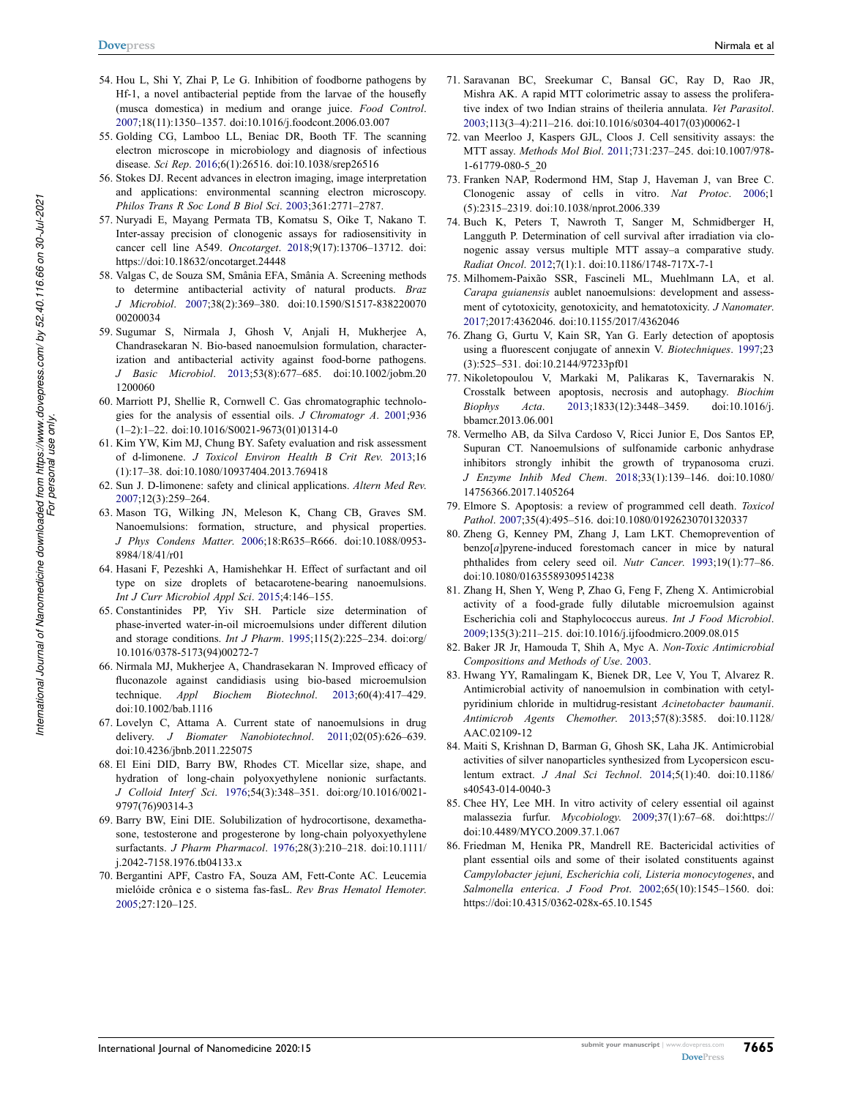- <span id="page-14-0"></span>54. Hou L, Shi Y, Zhai P, Le G. Inhibition of foodborne pathogens by Hf-1, a novel antibacterial peptide from the larvae of the housefly (musca domestica) in medium and orange juice. *Food Control*. [2007;](#page-4-1)18(11):1350–1357. doi:[10.1016/j.foodcont.2006.03.007](https://doi.org/10.1016/j.foodcont.2006.03.007)
- <span id="page-14-1"></span>55. Golding CG, Lamboo LL, Beniac DR, Booth TF. The scanning electron microscope in microbiology and diagnosis of infectious disease. *Sci Rep*. [2016;](#page-4-2)6(1):26516. doi:[10.1038/srep26516](https://doi.org/10.1038/srep26516)
- <span id="page-14-2"></span>56. Stokes DJ. Recent advances in electron imaging, image interpretation and applications: environmental scanning electron microscopy. *Philos Trans R Soc Lond B Biol Sci*. [2003](#page-4-3);361:2771–2787.
- <span id="page-14-3"></span>57. Nuryadi E, Mayang Permata TB, Komatsu S, Oike T, Nakano T. Inter-assay precision of clonogenic assays for radiosensitivity in cancer cell line A549. *Oncotarget*. [2018](#page-8-1);9(17):13706–13712. doi: [https://doi:10.18632/oncotarget.24448](https://doi.org/https://doi:10.18632/oncotarget.24448)
- <span id="page-14-4"></span>58. Valgas C, de Souza SM, Smânia EFA, Smânia A. Screening methods to determine antibacterial activity of natural products. *Braz J Microbiol*. [2007;](#page-8-2)38(2):369–380. doi:[10.1590/S1517-838220070](https://doi.org/10.1590/S1517-83822007000200034)  [00200034](https://doi.org/10.1590/S1517-83822007000200034)
- <span id="page-14-5"></span>59. Sugumar S, Nirmala J, Ghosh V, Anjali H, Mukherjee A, Chandrasekaran N. Bio-based nanoemulsion formulation, characterization and antibacterial activity against food-borne pathogens. *J Basic Microbiol*. [2013](#page-9-1);53(8):677–685. doi:[10.1002/jobm.20](https://doi.org/10.1002/jobm.201200060)  [1200060](https://doi.org/10.1002/jobm.201200060)
- <span id="page-14-6"></span>60. Marriott PJ, Shellie R, Cornwell C. Gas chromatographic technologies for the analysis of essential oils. *J Chromatogr A*. [2001](#page-9-2);936 (1–2):1–22. doi:[10.1016/S0021-9673\(01\)01314-0](https://doi.org/10.1016/S0021-9673(01)01314-0)
- <span id="page-14-7"></span>61. Kim YW, Kim MJ, Chung BY. Safety evaluation and risk assessment of d-limonene. *J Toxicol Environ Health B Crit Rev*. [2013](#page-10-2);16 (1):17–38. doi:[10.1080/10937404.2013.769418](https://doi.org/10.1080/10937404.2013.769418)
- <span id="page-14-8"></span>62. Sun J. D-limonene: safety and clinical applications. *Altern Med Rev*. [2007;](#page-10-3)12(3):259–264.
- <span id="page-14-9"></span>63. Mason TG, Wilking JN, Meleson K, Chang CB, Graves SM. Nanoemulsions: formation, structure, and physical properties. *J Phys Condens Matter*. [2006](#page-10-4);18:R635–R666. doi:[10.1088/0953-](https://doi.org/10.1088/0953-8984/18/41/r01)  [8984/18/41/r01](https://doi.org/10.1088/0953-8984/18/41/r01)
- <span id="page-14-10"></span>64. Hasani F, Pezeshki A, Hamishehkar H. Effect of surfactant and oil type on size droplets of betacarotene-bearing nanoemulsions. *Int J Curr Microbiol Appl Sci*. [2015](#page-10-5);4:146–155.
- <span id="page-14-11"></span>65. Constantinides PP, Yiv SH. Particle size determination of phase-inverted water-in-oil microemulsions under different dilution and storage conditions. *Int J Pharm*. [1995;](#page-10-6)115(2):225–234. doi:[org/](https://doi.org/org/10.1016/0378-5173(94)00272-7)  [10.1016/0378-5173\(94\)00272-7](https://doi.org/org/10.1016/0378-5173(94)00272-7)
- <span id="page-14-12"></span>66. Nirmala MJ, Mukherjee A, Chandrasekaran N. Improved efficacy of fluconazole against candidiasis using bio-based microemulsion technique. *Appl Biochem Biotechnol*. [2013;](#page-10-7)60(4):417–429. doi:[10.1002/bab.1116](https://doi.org/10.1002/bab.1116)
- <span id="page-14-13"></span>67. Lovelyn C, Attama A. Current state of nanoemulsions in drug delivery. *J Biomater Nanobiotechnol*. [2011;](#page-10-8)02(05):626–639. doi:[10.4236/jbnb.2011.225075](https://doi.org/10.4236/jbnb.2011.225075)
- 68. El Eini DID, Barry BW, Rhodes CT. Micellar size, shape, and hydration of long-chain polyoxyethylene nonionic surfactants. *J Colloid Interf Sci*. 1976;54(3):348–351. doi:[org/10.1016/0021-](https://doi.org/org/10.1016/0021-9797(76)90314-3)  [9797\(76\)90314-3](https://doi.org/org/10.1016/0021-9797(76)90314-3)
- <span id="page-14-14"></span>69. Barry BW, Eini DIE. Solubilization of hydrocortisone, dexamethasone, testosterone and progesterone by long-chain polyoxyethylene surfactants. *J Pharm Pharmacol*. [1976;](#page-10-8)28(3):210–218. doi:[10.1111/](https://doi.org/10.1111/j.2042-7158.1976.tb04133.x)  [j.2042-7158.1976.tb04133.x](https://doi.org/10.1111/j.2042-7158.1976.tb04133.x)
- <span id="page-14-15"></span>70. Bergantini APF, Castro FA, Souza AM, Fett-Conte AC. Leucemia mielóide crônica e o sistema fas-fasL. *Rev Bras Hematol Hemoter*. [2005;](#page-10-9)27:120–125.
- 71. Saravanan BC, Sreekumar C, Bansal GC, Ray D, Rao JR, Mishra AK. A rapid MTT colorimetric assay to assess the proliferative index of two Indian strains of theileria annulata. *Vet Parasitol*. 2003;113(3–4):211–216. doi:[10.1016/s0304-4017\(03\)00062-1](https://doi.org/10.1016/s0304-4017(03)00062-1)
- <span id="page-14-16"></span>72. van Meerloo J, Kaspers GJL, Cloos J. Cell sensitivity assays: the MTT assay. *Methods Mol Biol*. [2011](#page-10-9);731:237–245. doi:[10.1007/978-](https://doi.org/10.1007/978-1-61779-080-5_20) [1-61779-080-5\\_20](https://doi.org/10.1007/978-1-61779-080-5_20)
- <span id="page-14-17"></span>73. Franken NAP, Rodermond HM, Stap J, Haveman J, van Bree C. Clonogenic assay of cells in vitro. *Nat Protoc*. [2006](#page-11-1);1 (5):2315–2319. doi:[10.1038/nprot.2006.339](https://doi.org/10.1038/nprot.2006.339)
- <span id="page-14-18"></span>74. Buch K, Peters T, Nawroth T, Sanger M, Schmidberger H, Langguth P. Determination of cell survival after irradiation via clonogenic assay versus multiple MTT assay–a comparative study. *Radiat Oncol*. [2012;](#page-11-1)7(1):1. doi:[10.1186/1748-717X-7-1](https://doi.org/10.1186/1748-717X-7-1)
- <span id="page-14-19"></span>75. Milhomem-Paixão SSR, Fascineli ML, Muehlmann LA, et al. *Carapa guianensis* aublet nanoemulsions: development and assessment of cytotoxicity, genotoxicity, and hematotoxicity. *J Nanomater*. [2017](#page-11-2);2017:4362046. doi:[10.1155/2017/4362046](https://doi.org/10.1155/2017/4362046)
- <span id="page-14-20"></span>76. Zhang G, Gurtu V, Kain SR, Yan G. Early detection of apoptosis using a fluorescent conjugate of annexin V. *Biotechniques*. [1997](#page-11-3);23 (3):525–531. doi:[10.2144/97233pf01](https://doi.org/10.2144/97233pf01)
- <span id="page-14-21"></span>77. Nikoletopoulou V, Markaki M, Palikaras K, Tavernarakis N. Crosstalk between apoptosis, necrosis and autophagy. *Biochim Biophys Acta*. [2013](#page-11-4);1833(12):3448–3459. doi:[10.1016/j.](https://doi.org/10.1016/j.bbamcr.2013.06.001) [bbamcr.2013.06.001](https://doi.org/10.1016/j.bbamcr.2013.06.001)
- <span id="page-14-22"></span>78. Vermelho AB, da Silva Cardoso V, Ricci Junior E, Dos Santos EP, Supuran CT. Nanoemulsions of sulfonamide carbonic anhydrase inhibitors strongly inhibit the growth of trypanosoma cruzi. *J Enzyme Inhib Med Chem*. [2018](#page-11-5);33(1):139–146. doi:[10.1080/](https://doi.org/10.1080/14756366.2017.1405264) [14756366.2017.1405264](https://doi.org/10.1080/14756366.2017.1405264)
- <span id="page-14-23"></span>79. Elmore S. Apoptosis: a review of programmed cell death. *Toxicol Pathol*. [2007](#page-11-6);35(4):495–516. doi:[10.1080/01926230701320337](https://doi.org/10.1080/01926230701320337)
- <span id="page-14-24"></span>80. Zheng G, Kenney PM, Zhang J, Lam LKT. Chemoprevention of benzo[*a*]pyrene-induced forestomach cancer in mice by natural phthalides from celery seed oil. *Nutr Cancer*. [1993;](#page-11-7)19(1):77–86. doi:[10.1080/01635589309514238](https://doi.org/10.1080/01635589309514238)
- <span id="page-14-25"></span>81. Zhang H, Shen Y, Weng P, Zhao G, Feng F, Zheng X. Antimicrobial activity of a food-grade fully dilutable microemulsion against Escherichia coli and Staphylococcus aureus. *Int J Food Microbiol*. [2009](#page-11-8);135(3):211–215. doi:[10.1016/j.ijfoodmicro.2009.08.015](https://doi.org/10.1016/j.ijfoodmicro.2009.08.015)
- <span id="page-14-26"></span>82. Baker JR Jr, Hamouda T, Shih A, Myc A. *Non-Toxic Antimicrobial Compositions and Methods of Use*. [2003.](#page-12-14)
- 83. Hwang YY, Ramalingam K, Bienek DR, Lee V, You T, Alvarez R. Antimicrobial activity of nanoemulsion in combination with cetylpyridinium chloride in multidrug-resistant *Acinetobacter baumanii*. *Antimicrob Agents Chemother*. 2013;57(8):3585. doi:[10.1128/](https://doi.org/10.1128/AAC.02109-12) [AAC.02109-12](https://doi.org/10.1128/AAC.02109-12)
- <span id="page-14-27"></span>84. Maiti S, Krishnan D, Barman G, Ghosh SK, Laha JK. Antimicrobial activities of silver nanoparticles synthesized from Lycopersicon esculentum extract. *J Anal Sci Technol*. [2014;](#page-12-14)5(1):40. doi:[10.1186/](https://doi.org/10.1186/s40543-014-0040-3) [s40543-014-0040-3](https://doi.org/10.1186/s40543-014-0040-3)
- <span id="page-14-28"></span>85. Chee HY, Lee MH. In vitro activity of celery essential oil against malassezia furfur. *Mycobiology*. [2009](#page-12-15);37(1):67–68. doi:[https://](https://doi.org/https://doi:10.4489/MYCO.2009.37.1.067) [doi:10.4489/MYCO.2009.37.1.067](https://doi.org/https://doi:10.4489/MYCO.2009.37.1.067)
- <span id="page-14-29"></span>86. Friedman M, Henika PR, Mandrell RE. Bactericidal activities of plant essential oils and some of their isolated constituents against *Campylobacter jejuni, Escherichia coli, Listeria monocytogenes*, and *Salmonella enterica*. *J Food Prot*. [2002;](#page-12-16)65(10):1545–1560. doi[:](https://doi.org/https://doi:10.4315/0362-028x-65.10.1545)  [https://doi:10.4315/0362-028x-65.10.1545](https://doi.org/https://doi:10.4315/0362-028x-65.10.1545)